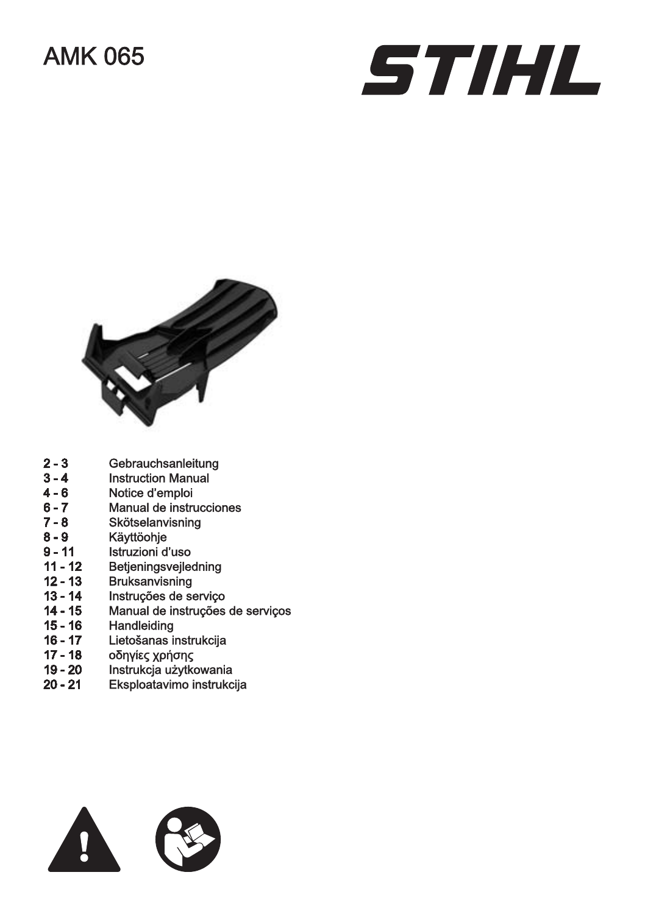# AMK 065





- Gebrauchsanleitung  $2 - 3$  $2 - 3$  $2 - 3$
- Instruction Manual  $3 - 4$  $3 - 4$  $3 - 4$
- Notice d'emploi  $4 - 6$  $4 - 6$  $4 - 6$
- Manual de instrucciones  $6 - 7$  $6 - 7$  $6 - 7$
- Skötselanvisning  $7 - 8$  $7 - 8$  $7 - 8$
- Käyttöohje [8](#page-7-0) - [9](#page-8-0)
- Istruzioni d'uso  $9 - 11$  $9 - 11$  $9 - 11$
- Betjeningsvejledning  $11 - 12$  $11 - 12$  $11 - 12$
- Bruksanvisning [12](#page-11-0) - [13](#page-12-0)
- Instruções de serviço [13](#page-12-0) - [14](#page-13-0)
- Manual de instruções de serviços [14](#page-13-0) - [15](#page-14-0)
- **Handleiding** [15](#page-14-0) - [16](#page-15-0)
- Lietošanas instrukcija  $16 - 17$  $16 - 17$  $16 - 17$
- οδηγίες χρήσης [17](#page-16-0) - [18](#page-17-0)
- Instrukcja użytkowania [19](#page-18-0) - [20](#page-19-0)
- Eksploatavimo instrukcija [20](#page-19-0) - [21](#page-20-0)

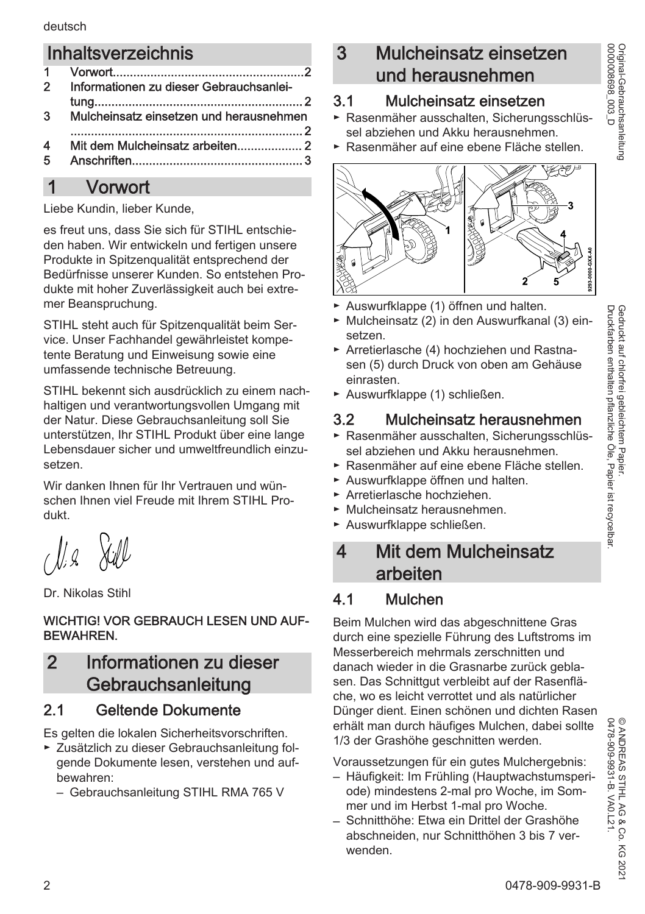Original-Gebrauchsanleitung<br>0000008698\_003\_D 0000008698\_003\_D Original-Gebrauchsanleitung

# <span id="page-1-0"></span>Inhaltsverzeichnis

| $\mathbf 1$      |                                         |
|------------------|-----------------------------------------|
| $\overline{2}$   | Informationen zu dieser Gebrauchsanlei- |
|                  |                                         |
| $\overline{3}$   | Mulcheinsatz einsetzen und herausnehmen |
|                  |                                         |
| $\blacktriangle$ |                                         |
|                  |                                         |

[5](#page-2-0) [Anschriften.](#page-2-0)................................................. [3](#page-2-0)

### **Vorwort**

Liebe Kundin, lieber Kunde,

es freut uns, dass Sie sich für STIHL entschie‐ den haben. Wir entwickeln und fertigen unsere Produkte in Spitzenqualität entsprechend der Bedürfnisse unserer Kunden. So entstehen Pro‐ dukte mit hoher Zuverlässigkeit auch bei extre‐ mer Beanspruchung.

STIHL steht auch für Spitzenqualität beim Ser‐ vice. Unser Fachhandel gewährleistet kompe‐ tente Beratung und Einweisung sowie eine umfassende technische Betreuung.

STIHL bekennt sich ausdrücklich zu einem nach‐ haltigen und verantwortungsvollen Umgang mit der Natur. Diese Gebrauchsanleitung soll Sie unterstützen, Ihr STIHL Produkt über eine lange Lebensdauer sicher und umweltfreundlich einzu‐ setzen.

Wir danken Ihnen für Ihr Vertrauen und wünschen Ihnen viel Freude mit Ihrem STIHL Pro‐ dukt.

( || g

Dr. Nikolas Stihl

#### WICHTIG! VOR GEBRAUCH LESEN UND AUF‐ BEWAHREN.

# 2 Informationen zu dieser **Gebrauchsanleitung**

### 2.1 Geltende Dokumente

Es gelten die lokalen Sicherheitsvorschriften.

- ► Zusätzlich zu dieser Gebrauchsanleitung fol‐ gende Dokumente lesen, verstehen und auf‐ bewahren:
	- Gebrauchsanleitung STIHL RMA 765 V

# 3 Mulcheinsatz einsetzen und herausnehmen

#### 3.1 Mulcheinsatz einsetzen

- ► Rasenmäher ausschalten, Sicherungsschlüs‐ sel abziehen und Akku herausnehmen.
- ► Rasenmäher auf eine ebene Fläche stellen.



- ► Auswurfklappe (1) öffnen und halten.
- ► Mulcheinsatz (2) in den Auswurfkanal (3) ein‐ setzen.
- ► Arretierlasche (4) hochziehen und Rastna‐ sen (5) durch Druck von oben am Gehäuse einrasten.
- ► Auswurfklappe (1) schließen.

### 3.2 Mulcheinsatz herausnehmen

- ► Rasenmäher ausschalten, Sicherungsschlüs‐ sel abziehen und Akku herausnehmen.
- ► Rasenmäher auf eine ebene Fläche stellen.
- ► Auswurfklappe öffnen und halten.
- ► Arretierlasche hochziehen.
- ► Mulcheinsatz herausnehmen.
- ► Auswurfklappe schließen.

# 4 Mit dem Mulcheinsatz arbeiten

### 4.1 Mulchen

Beim Mulchen wird das abgeschnittene Gras durch eine spezielle Führung des Luftstroms im Messerbereich mehrmals zerschnitten und danach wieder in die Grasnarbe zurück gebla‐ sen. Das Schnittgut verbleibt auf der Rasenfläche, wo es leicht verrottet und als natürlicher Dünger dient. Einen schönen und dichten Rasen erhält man durch häufiges Mulchen, dabei sollte 1/3 der Grashöhe geschnitten werden.

Voraussetzungen für ein gutes Mulchergebnis:

- Häufigkeit: Im Frühling (Hauptwachstumsperi‐ ode) mindestens 2-mal pro Woche, im Som‐ mer und im Herbst 1-mal pro Woche.
- Schnitthöhe: Etwa ein Drittel der Grashöhe abschneiden, nur Schnitthöhen 3 bis 7 ver‐ wenden.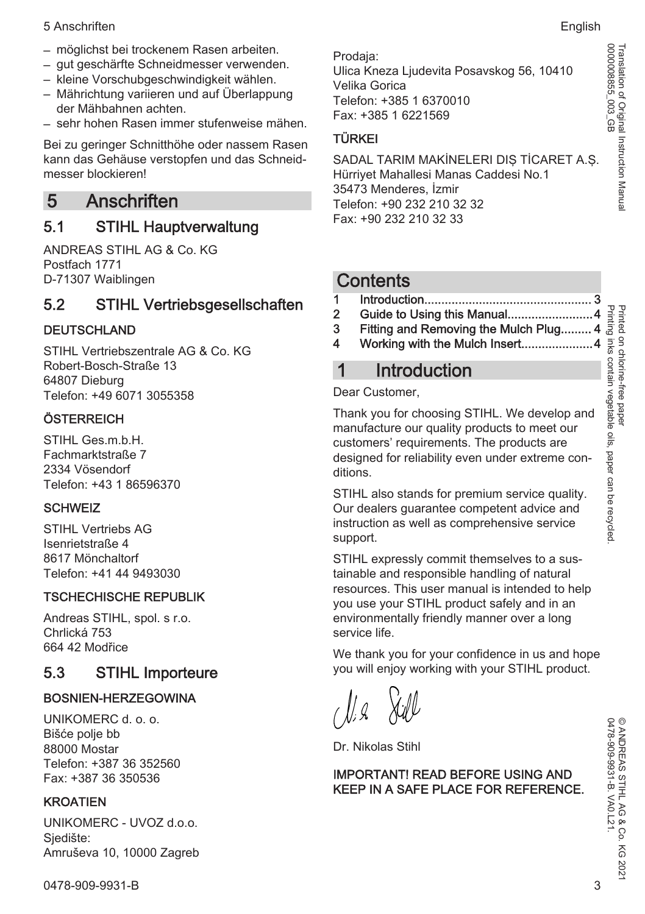#### <span id="page-2-0"></span>5 Anschriften English et al. et al. et al. et al. et al. et al. et al. et al. et al. et al. et al. et al. et a

- möglichst bei trockenem Rasen arbeiten.
- gut geschärfte Schneidmesser verwenden.
- kleine Vorschubgeschwindigkeit wählen.
- Mährichtung variieren und auf Überlappung der Mähbahnen achten.
- sehr hohen Rasen immer stufenweise mähen.

Bei zu geringer Schnitthöhe oder nassem Rasen kann das Gehäuse verstopfen und das Schneid‐ messer blockieren!

# 5 Anschriften

### 5.1 STIHL Hauptverwaltung

ANDREAS STIHL AG & Co. KG Postfach 1771 D-71307 Waiblingen

### 5.2 STIHL Vertriebsgesellschaften

### DEUTSCHLAND

STIHL Vertriebszentrale AG & Co. KG Robert-Bosch-Straße 13 64807 Dieburg Telefon: +49 6071 3055358

### **ÖSTERREICH**

STIHL Ges m b H Fachmarktstraße 7 2334 Vösendorf Telefon: +43 1 86596370

#### **SCHWEIZ**

STIHL Vertriebs AG Isenrietstraße 4 8617 Mönchaltorf Telefon: +41 44 9493030

### TSCHECHISCHE REPUBLIK

Andreas STIHL, spol. s r.o. Chrlická 753 664 42 Modřice

### 5.3 STIHL Importeure

#### BOSNIEN-HERZEGOWINA

UNIKOMERC d. o. o. Bišće polje bb 88000 Mostar Telefon: +387 36 352560 Fax: +387 36 350536

#### KROATIEN

UNIKOMERC - UVOZ d.o.o. Sjedište: Amruševa 10, 10000 Zagreb Prodaja:

Ulica Kneza Ljudevita Posavskog 56, 10410 Velika Gorica Telefon: +385 1 6370010 Fax: +385 1 6221569

#### TÜRKEI

SADAL TARIM MAKİNELERI DIŞ TİCARET A.Ş. Hürriyet Mahallesi Manas Caddesi No.1 35473 Menderes, İzmir Telefon: +90 232 210 32 32 Fax: +90 232 210 32 33

# **Contents**

- 1 Introduction................................................. 3
- [2](#page-3-0) [Guide to Using this Manual](#page-3-0).........................[4](#page-3-0)
- [3](#page-3-0) [Fitting and Removing the Mulch Plug](#page-3-0)......... [4](#page-3-0)
- [4](#page-3-0) [Working with the Mulch Insert](#page-3-0).....................[4](#page-3-0)

# 1 Introduction

Dear Customer,

Thank you for choosing STIHL. We develop and manufacture our quality products to meet our customers' requirements. The products are designed for reliability even under extreme con‐ ditions.

STIHL also stands for premium service quality. Our dealers guarantee competent advice and instruction as well as comprehensive service support.

STIHL expressly commit themselves to a sus‐ tainable and responsible handling of natural resources. This user manual is intended to help you use your STIHL product safely and in an environmentally friendly manner over a long service life.

We thank you for your confidence in us and hope you will enjoy working with your STIHL product.

Dr. Nikolas Stihl

IMPORTANT! READ BEFORE USING AND KEEP IN A SAFE PLACE FOR REFERENCE. 0478-909-9931-B. VA0.L21. © ANDREAS STIHL AG & Co. KG 2021

.<br>ລ 202

0478-909-9931-B. VA0.L2 @ ANDREAS STIHL AG & Co

0000008855\_003\_GB

Translation of Original Instruction Manua<br>0000008855\_003\_GB Translation of Original Instruction Manual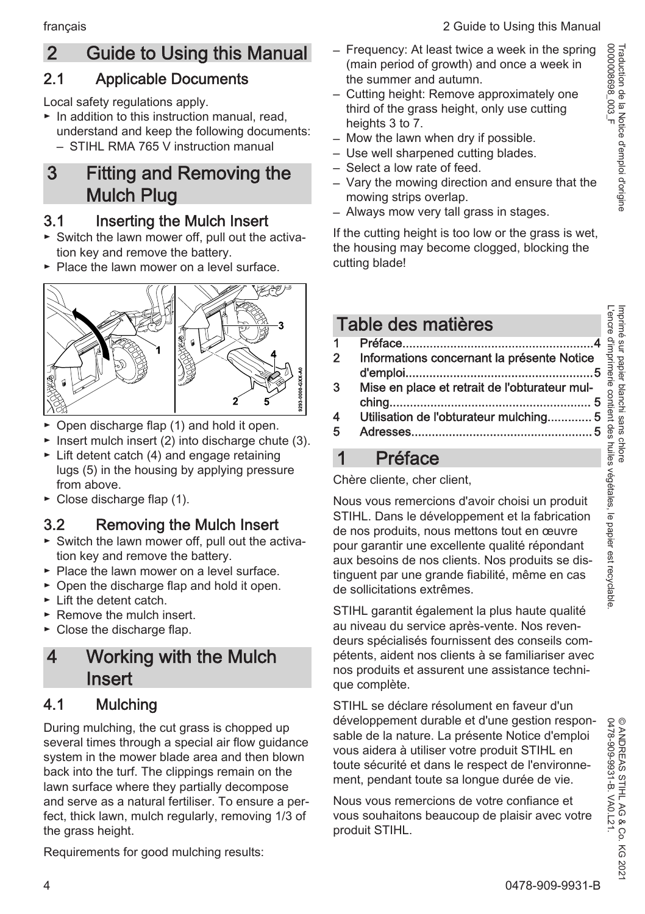# <span id="page-3-0"></span>2 Guide to Using this Manual

# 2.1 Applicable Documents

Local safety regulations apply.

- ► In addition to this instruction manual, read, understand and keep the following documents:
	- STIHL RMA 765 V instruction manual

# 3 Fitting and Removing the Mulch Plug

### 3.1 Inserting the Mulch Insert

- ► Switch the lawn mower off, pull out the activa‐ tion key and remove the battery.
- ► Place the lawn mower on a level surface.



- ► Open discharge flap (1) and hold it open.
- ► Insert mulch insert (2) into discharge chute (3).
- ► Lift detent catch (4) and engage retaining lugs (5) in the housing by applying pressure from above.
- ► Close discharge flap (1).

# 3.2 Removing the Mulch Insert

- ► Switch the lawn mower off, pull out the activa‐ tion key and remove the battery.
- ► Place the lawn mower on a level surface.
- ► Open the discharge flap and hold it open.
- ► Lift the detent catch.
- ► Remove the mulch insert.
- ► Close the discharge flap.

# 4 Working with the Mulch Insert

# 4.1 Mulching

During mulching, the cut grass is chopped up several times through a special air flow guidance system in the mower blade area and then blown back into the turf. The clippings remain on the lawn surface where they partially decompose and serve as a natural fertiliser. To ensure a per‐ fect, thick lawn, mulch regularly, removing 1/3 of the grass height.

Requirements for good mulching results:

- Frequency: At least twice a week in the spring (main period of growth) and once a week in the summer and autumn.
- Cutting height: Remove approximately one third of the grass height, only use cutting heights 3 to 7.
- Mow the lawn when dry if possible.
- Use well sharpened cutting blades.
- Select a low rate of feed.
- Vary the mowing direction and ensure that the mowing strips overlap.
- Always mow very tall grass in stages.

If the cutting height is too low or the grass is wet, the housing may become clogged, blocking the cutting blade!

# Table des matières

1 Préface........................................................4 [Informations concernant la présente Notice](#page-4-0) [d'emploi.](#page-4-0)......................................................[5](#page-4-0) [3](#page-4-0) [Mise en place et retrait de l'obturateur mul‐](#page-4-0) [ching](#page-4-0)........................................................... [5](#page-4-0) [4](#page-4-0) [Utilisation de l'obturateur mulching](#page-4-0)............. [5](#page-4-0)

# 1 Préface

Chère cliente, cher client,

[5](#page-4-0) [Adresses.](#page-4-0).................................................... [5](#page-4-0) Nous vous remercions d'avoir choisi un produit STIHL. Dans le développement et la fabrication de nos produits, nous mettons tout en œuvre pour garantir une excellente qualité répondant aux besoins de nos clients. Nos produits se dis‐ tinguent par une grande fiabilité, même en cas de sollicitations extrêmes.

STIHL garantit également la plus haute qualité au niveau du service après-vente. Nos reven‐ deurs spécialisés fournissent des conseils com‐ pétents, aident nos clients à se familiariser avec nos produits et assurent une assistance techni‐ que complète.

STIHL se déclare résolument en faveur d'un développement durable et d'une gestion respon‐ sable de la nature. La présente Notice d'emploi vous aidera à utiliser votre produit STIHL en toute sécurité et dans le respect de l'environne‐ ment, pendant toute sa longue durée de vie.

Nous vous remercions de votre confiance et vous souhaitons beaucoup de plaisir avec votre produit STIHL.

0000008698\_003\_F

Traduction de la Notice d'emploi d'origine<br>0000008698\_003\_F Traduction de la Notice d'emploi d'origine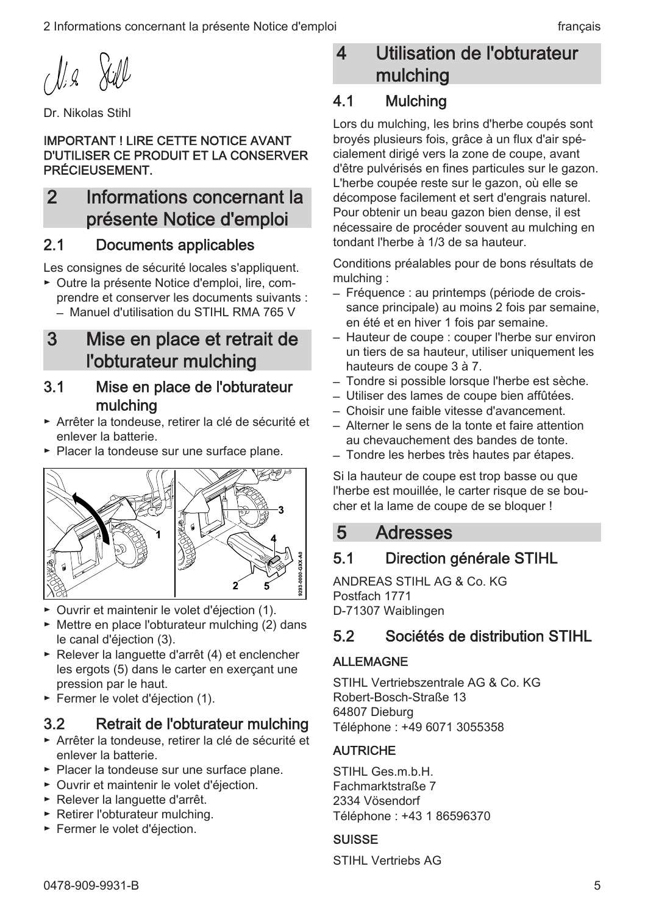<span id="page-4-0"></span>11. q

Dr. Nikolas Stihl

#### IMPORTANT I LIRE CETTE NOTICE AVANT D'UTILISER CE PRODUIT ET LA CONSERVER PRÉCIEUSEMENT.

### 2 Informations concernant la présente Notice d'emploi

### 2.1 Documents applicables

Les consignes de sécurité locales s'appliquent. ► Outre la présente Notice d'emploi, lire, com‐

- prendre et conserver les documents suivants :
- Manuel d'utilisation du STIHL RMA 765 V

# 3 Mise en place et retrait de l'obturateur mulching

#### 3.1 Mise en place de l'obturateur mulching

- ► Arrêter la tondeuse, retirer la clé de sécurité et enlever la batterie.
- ► Placer la tondeuse sur une surface plane.



- ► Ouvrir et maintenir le volet d'éjection (1).
- ► Mettre en place l'obturateur mulching (2) dans le canal d'éjection (3).
- ► Relever la languette d'arrêt (4) et enclencher les ergots (5) dans le carter en exerçant une pression par le haut.
- ► Fermer le volet d'éjection (1).

### 3.2 Retrait de l'obturateur mulching

- ► Arrêter la tondeuse, retirer la clé de sécurité et enlever la batterie.
- ► Placer la tondeuse sur une surface plane.
- ► Ouvrir et maintenir le volet d'éjection.
- ► Relever la languette d'arrêt.
- ► Retirer l'obturateur mulching.
- ► Fermer le volet d'éjection.

# 4 Utilisation de l'obturateur mulching

### 4.1 Mulching

Lors du mulching, les brins d'herbe coupés sont broyés plusieurs fois, grâce à un flux d'air spé‐ cialement dirigé vers la zone de coupe, avant d'être pulvérisés en fines particules sur le gazon. L'herbe coupée reste sur le gazon, où elle se décompose facilement et sert d'engrais naturel. Pour obtenir un beau gazon bien dense, il est nécessaire de procéder souvent au mulching en tondant l'herbe à 1/3 de sa hauteur.

Conditions préalables pour de bons résultats de mulching :

- Fréquence : au printemps (période de crois‐ sance principale) au moins 2 fois par semaine, en été et en hiver 1 fois par semaine.
- Hauteur de coupe : couper l'herbe sur environ un tiers de sa hauteur, utiliser uniquement les hauteurs de coupe 3 à 7.
- Tondre si possible lorsque l'herbe est sèche.
- Utiliser des lames de coupe bien affûtées.
- Choisir une faible vitesse d'avancement.
- Alterner le sens de la tonte et faire attention au chevauchement des bandes de tonte.
- Tondre les herbes très hautes par étapes.

Si la hauteur de coupe est trop basse ou que l'herbe est mouillée, le carter risque de se bou‐ cher et la lame de coupe de se bloquer !

### 5 Adresses

### 5.1 Direction générale STIHL

ANDREAS STIHL AG & Co. KG Postfach 1771 D-71307 Waiblingen

### 5.2 Sociétés de distribution STIHL

#### ALLEMAGNE

STIHL Vertriebszentrale AG & Co. KG Robert-Bosch-Straße 13 64807 Dieburg Téléphone : +49 6071 3055358

#### **AUTRICHE**

STIHL Ges m b H. Fachmarktstraße 7 2334 Vösendorf Téléphone : +43 1 86596370

#### **SUISSE**

STIHL Vertriebs AG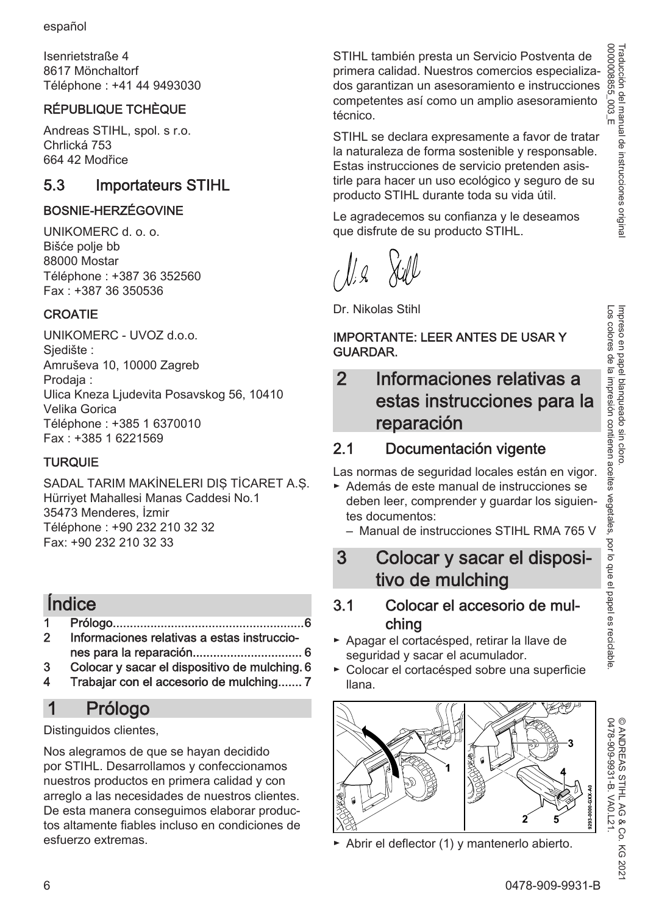<span id="page-5-0"></span>Isenrietstraße 4 8617 Mönchaltorf Téléphone : +41 44 9493030

#### RÉPUBLIQUE TCHÈQUE

Andreas STIHL, spol. s r.o. Chrlická 753 664 42 Modřice

### 5.3 Importateurs STIHL

#### BOSNIE-HERZÉGOVINE

UNIKOMERC d. o. o. Bišće polje bb 88000 Mostar Téléphone : +387 36 352560 Fax : +387 36 350536

#### **CROATIE**

UNIKOMERC - UVOZ d.o.o. Siedište : Amruševa 10, 10000 Zagreb Prodaja : Ulica Kneza Ljudevita Posavskog 56, 10410 Velika Gorica Téléphone : +385 1 6370010 Fax : +385 1 6221569

#### **TURQUIE**

SADAL TARIM MAKİNELERI DIŞ TİCARET A.Ş. Hürriyet Mahallesi Manas Caddesi No.1 35473 Menderes, İzmir Téléphone : +90 232 210 32 32 Fax: +90 232 210 32 33

# Índice

- 1 Prólogo........................................................6 2 Informaciones relativas a estas instruccio‐ nes para la reparación................................ 6
- 3 Colocar y sacar el dispositivo de mulching. 6
- [4](#page-6-0) [Trabajar con el accesorio de mulching.](#page-6-0)...... [7](#page-6-0)

# 1 Prólogo

Distinguidos clientes,

Nos alegramos de que se hayan decidido por STIHL. Desarrollamos y confeccionamos nuestros productos en primera calidad y con arreglo a las necesidades de nuestros clientes. De esta manera conseguimos elaborar productos altamente fiables incluso en condiciones de esfuerzo extremas.

STIHL también presta un Servicio Postventa de primera calidad. Nuestros comercios especializa‐ dos garantizan un asesoramiento e instrucciones competentes así como un amplio asesoramiento técnico.

STIHL se declara expresamente a favor de tratar la naturaleza de forma sostenible y responsable. Estas instrucciones de servicio pretenden asis‐ tirle para hacer un uso ecológico y seguro de su producto STIHL durante toda su vida útil.

Le agradecemos su confianza y le deseamos que disfrute de su producto STIHL.

Dr. Nikolas Stihl

#### IMPORTANTE: LEER ANTES DE USAR Y **GUARDAR**

# 2 Informaciones relativas a estas instrucciones para la reparación

### 2.1 Documentación vigente

Las normas de seguridad locales están en vigor.

► Además de este manual de instrucciones se deben leer, comprender y guardar los siguientes documentos:

– Manual de instrucciones STIHL RMA 765 V

# 3 Colocar y sacar el disposi‐ tivo de mulching

#### 3.1 Colocar el accesorio de mul‐ ching

- ► Apagar el cortacésped, retirar la llave de seguridad y sacar el acumulador.
- ► Colocar el cortacésped sobre una superficie llana.



Abrir el deflector (1) y mantenerlo abierto.

0000008855\_003\_E

Traducción del manual de instrucciones origina<br>0000008855\_003\_E Traducción del manual de instrucciones original

0478-909-9931-B. VA0.L21. © ANDREAS STIHL AG & Co. KG 2021

ANDREAS STIHL AG & Co **VA0.L2** 

.<br>බ 202

8-128-909-9931-B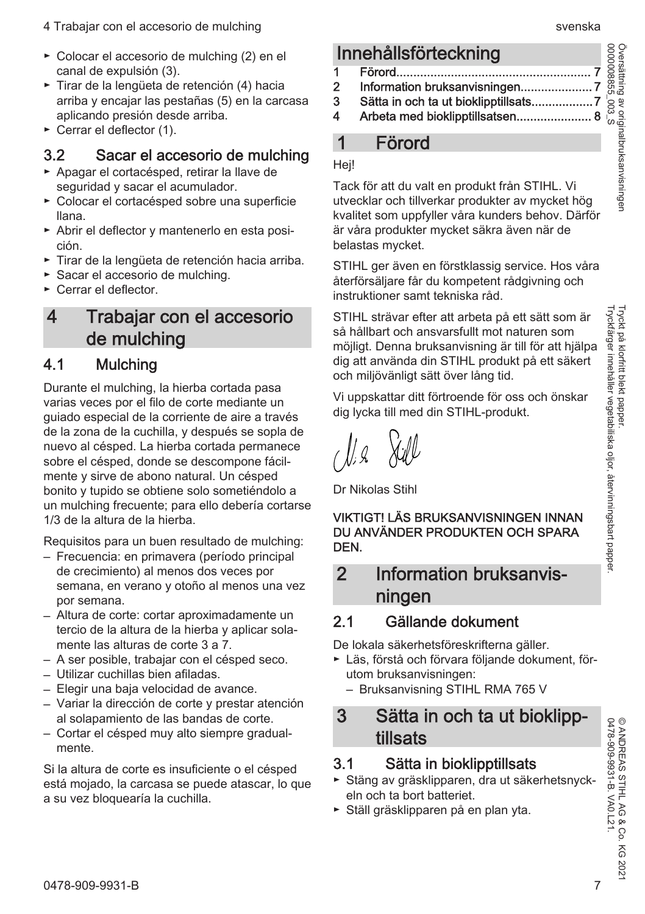- <span id="page-6-0"></span>► Colocar el accesorio de mulching (2) en el canal de expulsión (3).
- ► Tirar de la lengüeta de retención (4) hacia arriba y encajar las pestañas (5) en la carcasa aplicando presión desde arriba.
- ► Cerrar el deflector (1).

## 3.2 Sacar el accesorio de mulching

- ► Apagar el cortacésped, retirar la llave de seguridad y sacar el acumulador.
- ► Colocar el cortacésped sobre una superficie llana.
- ► Abrir el deflector y mantenerlo en esta posi‐ ción.
- ► Tirar de la lengüeta de retención hacia arriba.
- ► Sacar el accesorio de mulching.
- ► Cerrar el deflector.

# 4 Trabajar con el accesorio de mulching

# 4.1 Mulching

Durante el mulching, la hierba cortada pasa varias veces por el filo de corte mediante un guiado especial de la corriente de aire a través de la zona de la cuchilla, y después se sopla de nuevo al césped. La hierba cortada permanece sobre el césped, donde se descompone fácil‐ mente y sirve de abono natural. Un césped bonito y tupido se obtiene solo sometiéndolo a un mulching frecuente; para ello debería cortarse 1/3 de la altura de la hierba.

Requisitos para un buen resultado de mulching:

- Frecuencia: en primavera (período principal de crecimiento) al menos dos veces por semana, en verano y otoño al menos una vez por semana.
- Altura de corte: cortar aproximadamente un tercio de la altura de la hierba y aplicar sola‐ mente las alturas de corte 3 a 7.
- A ser posible, trabajar con el césped seco.
- Utilizar cuchillas bien afiladas.
- Elegir una baja velocidad de avance.
- Variar la dirección de corte y prestar atención al solapamiento de las bandas de corte.
- Cortar el césped muy alto siempre gradual‐ mente.

Si la altura de corte es insuficiente o el césped está mojado, la carcasa se puede atascar, lo que a su vez bloquearía la cuchilla.

# Innehållsförteckning

- 1 Förord......................................................... 7 2 Information bruksanvisningen..................... 7 3 Sätta in och ta ut bioklipptillsats..................7
- [Arbeta med bioklipptillsatsen](#page-7-0)..............

# 1 Förord

### Hej!

Tack för att du valt en produkt från STIHL. Vi utvecklar och tillverkar produkter av mycket hög kvalitet som uppfyller våra kunders behov. Därför är våra produkter mycket säkra även när de belastas mycket.

STIHL ger även en förstklassig service. Hos våra återförsäljare får du kompetent rådgivning och instruktioner samt tekniska råd.

STIHL strävar efter att arbeta på ett sätt som är så hållbart och ansvarsfullt mot naturen som möjligt. Denna bruksanvisning är till för att hjälpa dig att använda din STIHL produkt på ett säkert och miljövänligt sätt över lång tid.

Vi uppskattar ditt förtroende för oss och önskar dig lycka till med din STIHL-produkt.

Dr Nikolas Stihl

VIKTIGT! LÄS BRUKSANVISNINGEN INNAN DU ANVÄNDER PRODUKTEN OCH SPARA DEN.

2 Information bruksanvis‐ ningen

### 2.1 Gällande dokument

De lokala säkerhetsföreskrifterna gäller.

- ► Läs, förstå och förvara följande dokument, för‐ utom bruksanvisningen:
	- Bruksanvisning STIHL RMA 765 V

# 3 Sätta in och ta ut bioklipp‐ tillsats

# 3.1 Sätta in bioklipptillsats

- ► Stäng av gräsklipparen, dra ut säkerhetsnyck‐ eln och ta bort batteriet.
- ► Ställ gräsklipparen på en plan yta.

Översättning av originalbruksanvisningen

202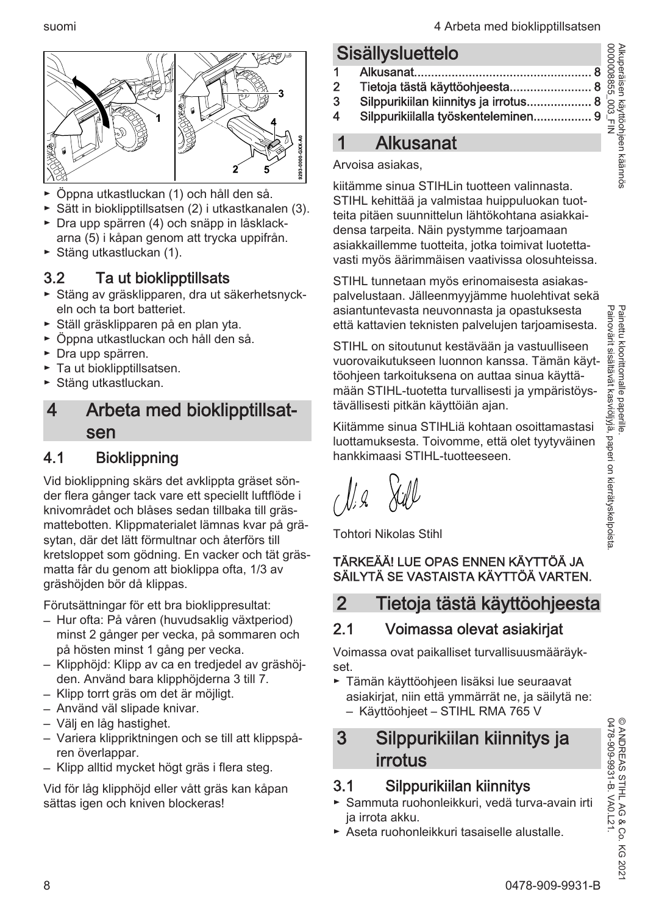<span id="page-7-0"></span>

- ► Öppna utkastluckan (1) och håll den så.
- ► Sätt in bioklipptillsatsen (2) i utkastkanalen (3).
- ► Dra upp spärren (4) och snäpp in låsklack‐ arna (5) i kåpan genom att trycka uppifrån.
- ► Stäng utkastluckan (1).

### 3.2 Ta ut bioklipptillsats

- ► Stäng av gräsklipparen, dra ut säkerhetsnyck‐ eln och ta bort batteriet.
- ► Ställ gräsklipparen på en plan yta.
- ► Öppna utkastluckan och håll den så.
- ► Dra upp spärren.
- ► Ta ut bioklipptillsatsen.
- ► Stäng utkastluckan.

### 4 Arbeta med bioklipptillsat‐ sen

### 4.1 Bioklippning

Vid bioklippning skärs det avklippta gräset sön‐ der flera gånger tack vare ett speciellt luftflöde i knivområdet och blåses sedan tillbaka till gräsmattebotten. Klippmaterialet lämnas kvar på grä‐ sytan, där det lätt förmultnar och återförs till kretsloppet som gödning. En vacker och tät gräs‐ matta får du genom att bioklippa ofta, 1/3 av gräshöjden bör då klippas.

Förutsättningar för ett bra bioklippresultat:

- Hur ofta: På våren (huvudsaklig växtperiod) minst 2 gånger per vecka, på sommaren och på hösten minst 1 gång per vecka.
- Klipphöjd: Klipp av ca en tredjedel av gräshöj‐ den. Använd bara klipphöjderna 3 till 7.
- Klipp torrt gräs om det är möjligt.
- Använd väl slipade knivar.
- Välj en låg hastighet.
- Variera klippriktningen och se till att klippspå‐ ren överlappar.
- Klipp alltid mycket högt gräs i flera steg.

Vid för låg klipphöjd eller vått gräs kan kåpan sättas igen och kniven blockeras!

# Sisällysluettelo<br>1 Alkusanat............

- 
- 1 Alkusanat.................................................... 8
- 2 Tietoja tästä käyttöohjeesta........................ 8 3 Silppurikiilan kiinnitys ja irrotus................... 8
- [4](#page-8-0) [Silppurikiilalla työskenteleminen](#page-8-0)................. [9](#page-8-0)

# 1 Alkusanat

Arvoisa asiakas,

kiitämme sinua STIHLin tuotteen valinnasta. STIHL kehittää ja valmistaa huippuluokan tuot‐ teita pitäen suunnittelun lähtökohtana asiakkai‐ densa tarpeita. Näin pystymme tarjoamaan asiakkaillemme tuotteita, jotka toimivat luotetta‐ vasti myös äärimmäisen vaativissa olosuhteissa.

STIHL tunnetaan myös erinomaisesta asiakas‐ palvelustaan. Jälleenmyyjämme huolehtivat sekä asiantuntevasta neuvonnasta ja opastuksesta että kattavien teknisten palvelujen tarjoamisesta.

STIHL on sitoutunut kestävään ja vastuulliseen vuorovaikutukseen luonnon kanssa. Tämän käyt‐ töohieen tarkoituksena on auttaa sinua käyttämään STIHL-tuotetta turvallisesti ja ympäristöys‐ tävällisesti pitkän käyttöiän ajan.

Kiitämme sinua STIHLiä kohtaan osoittamastasi luottamuksesta. Toivomme, että olet tyytyväinen hankkimaasi STIHL-tuotteeseen.

Tohtori Nikolas Stihl

#### TÄRKEÄÄ! LUE OPAS ENNEN KÄYTTÖÄ JA SÄILYTÄ SE VASTAISTA KÄYTTÖÄ VARTEN.

# 2 Tietoja tästä käyttöohjeesta

### 2.1 Voimassa olevat asiakirjat

Voimassa ovat paikalliset turvallisuusmääräyk‐ set.

► Tämän käyttöohjeen lisäksi lue seuraavat asiakirjat, niin että ymmärrät ne, ja säilytä ne: – Käyttöohjeet – STIHL RMA 765 V

# 3 Silppurikiilan kiinnitys ja irrotus

### 3.1 Silppurikiilan kiinnitys

- ► Sammuta ruohonleikkuri, vedä turva-avain irti ja irrota akku.
- ► Aseta ruohonleikkuri tasaiselle alustalle.

0478-909-9931-B. VA0.L21. © ANDREAS STIHL AG & Co. KG 2021

.<br>බ 202

0478-909-9931-B © ANDREAS STIHL AG & Co.<br>0478-909-9931-B. VA0.L21.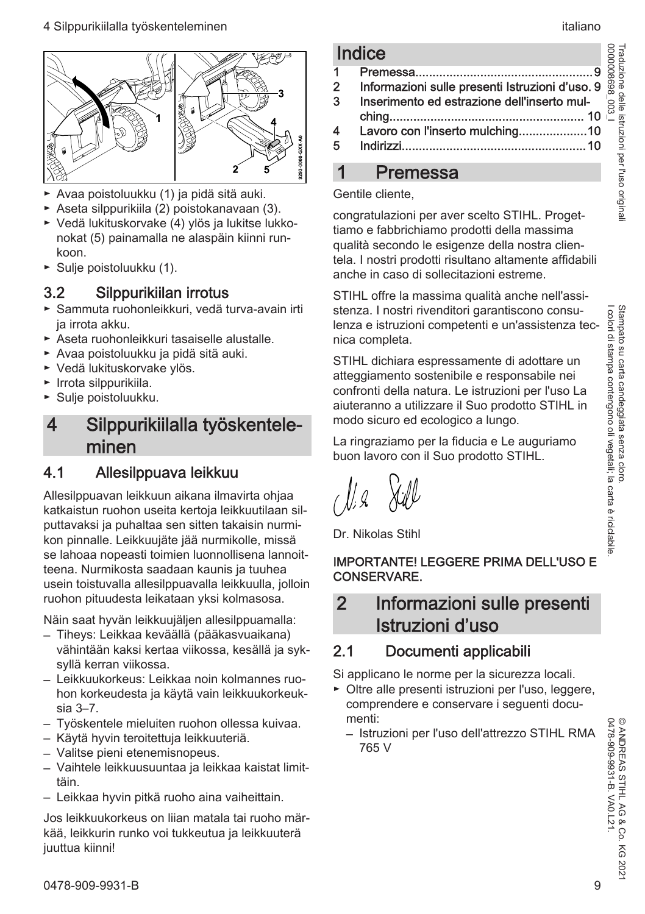<span id="page-8-0"></span>

- ► Avaa poistoluukku (1) ja pidä sitä auki.
- ► Aseta silppurikiila (2) poistokanavaan (3).
- ► Vedä lukituskorvake (4) ylös ja lukitse lukko‐ nokat (5) painamalla ne alaspäin kiinni run‐ koon.
- ► Sulje poistoluukku (1).

### 3.2 Silppurikiilan irrotus

- ► Sammuta ruohonleikkuri, vedä turva-avain irti ja irrota akku.
- ► Aseta ruohonleikkuri tasaiselle alustalle.
- ► Avaa poistoluukku ja pidä sitä auki.
- ► Vedä lukituskorvake ylös.
- ► Irrota silppurikiila.
- ► Sulje poistoluukku.

# 4 Silppurikiilalla työskentele‐ minen

### 4.1 Allesilppuava leikkuu

Allesilppuavan leikkuun aikana ilmavirta ohjaa katkaistun ruohon useita kertoja leikkuutilaan sil‐ puttavaksi ja puhaltaa sen sitten takaisin nurmi‐ kon pinnalle. Leikkuujäte jää nurmikolle, missä se lahoaa nopeasti toimien luonnollisena lannoit‐ teena. Nurmikosta saadaan kaunis ja tuuhea usein toistuvalla allesilppuavalla leikkuulla, jolloin ruohon pituudesta leikataan yksi kolmasosa.

Näin saat hyvän leikkuujäljen allesilppuamalla:

- Tiheys: Leikkaa keväällä (pääkasvuaikana) vähintään kaksi kertaa viikossa, kesällä ja syk‐ syllä kerran viikossa.
- Leikkuukorkeus: Leikkaa noin kolmannes ruo‐ hon korkeudesta ja käytä vain leikkuukorkeuk‐ sia 3–7.
- Työskentele mieluiten ruohon ollessa kuivaa.
- Käytä hyvin teroitettuja leikkuuteriä.
- Valitse pieni etenemisnopeus.
- Vaihtele leikkuusuuntaa ja leikkaa kaistat limit‐ täin.
- Leikkaa hyvin pitkä ruoho aina vaiheittain.

Jos leikkuukorkeus on liian matala tai ruoho mär‐ kää, leikkurin runko voi tukkeutua ja leikkuuterä juuttua kiinni!

#### Indice

- 
- $| Indice |                                                 |   |
|--------|-------------------------------------------------|---|
| 1      | Premessa                                        | 9 |
| 2      | Informationi sulle presenti Istruzioni d'uso. 9 |   |
| 3      | Insertimento ed estrazione dell'inserto mul-    |   |$ 0000008698\_003\_I 1 Premessa....................................................9 Inserimento ed estrazione dell'inserto mul--<br>200 [ching](#page-9-0)......................................................... [10](#page-9-0) [4](#page-9-0) [Lavoro con l'inserto mulching.](#page-9-0)..................[.10](#page-9-0) [5](#page-9-0) [Indirizzi](#page-9-0)......................................................[10](#page-9-0)

#### Gentile cliente,

1 Premessa

congratulazioni per aver scelto STIHL. Proget‐ tiamo e fabbrichiamo prodotti della massima qualità secondo le esigenze della nostra clien‐ tela. I nostri prodotti risultano altamente affidabili anche in caso di sollecitazioni estreme.

STIHL offre la massima qualità anche nell'assi‐ stenza. I nostri rivenditori garantiscono consulenza e istruzioni competenti e un'assistenza tec‐ nica completa.

STIHL dichiara espressamente di adottare un atteggiamento sostenibile e responsabile nei confronti della natura. Le istruzioni per l'uso La aiuteranno a utilizzare il Suo prodotto STIHL in modo sicuro ed ecologico a lungo.

La ringraziamo per la fiducia e Le auguriamo buon lavoro con il Suo prodotto STIHL.

Dr. Nikolas Stihl

IMPORTANTE! LEGGERE PRIMA DELL'USO E CONSERVARE.

### 2 Informazioni sulle presenti Istruzioni d'uso

### 2.1 Documenti applicabili

- Si applicano le norme per la sicurezza locali.
- ► Oltre alle presenti istruzioni per l'uso, leggere, comprendere e conservare i seguenti docu‐ menti:
	- Istruzioni per l'uso dell'attrezzo STIHL RMA 765 V

0478-909-9931-B. VA0.L21. © ANDREAS STIHL AG & Co. KG 2021

© ANDREAS STIHL AG & Co. 0478-909-9931-B. VA0.L2

.<br>ลิ 202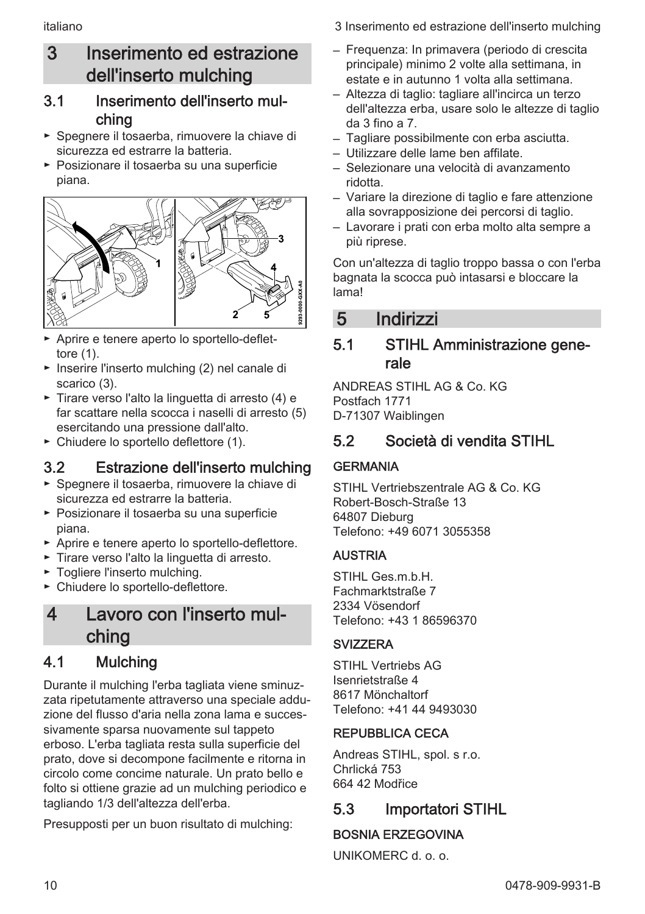# 3 Inserimento ed estrazione dell'inserto mulching

#### 3.1 Inserimento dell'inserto mul‐ ching

- ► Spegnere il tosaerba, rimuovere la chiave di sicurezza ed estrarre la batteria.
- ► Posizionare il tosaerba su una superficie piana.



- ► Aprire e tenere aperto lo sportello-deflet‐ tore (1).
- ► Inserire l'inserto mulching (2) nel canale di scarico (3).
- ► Tirare verso l'alto la linguetta di arresto (4) e far scattare nella scocca i naselli di arresto (5) esercitando una pressione dall'alto.
- ► Chiudere lo sportello deflettore (1).

### 3.2 Estrazione dell'inserto mulching

- ► Spegnere il tosaerba, rimuovere la chiave di sicurezza ed estrarre la batteria.
- ► Posizionare il tosaerba su una superficie piana.
- ► Aprire e tenere aperto lo sportello-deflettore.
- ► Tirare verso l'alto la linguetta di arresto.
- ► Togliere l'inserto mulching.
- ► Chiudere lo sportello-deflettore.

# 4 Lavoro con l'inserto mul‐ ching

# 4.1 Mulching

Durante il mulching l'erba tagliata viene sminuz‐ zata ripetutamente attraverso una speciale addu‐ zione del flusso d'aria nella zona lama e succes‐ sivamente sparsa nuovamente sul tappeto erboso. L'erba tagliata resta sulla superficie del prato, dove si decompone facilmente e ritorna in circolo come concime naturale. Un prato bello e folto si ottiene grazie ad un mulching periodico e tagliando 1/3 dell'altezza dell'erba.

Presupposti per un buon risultato di mulching:

- <span id="page-9-0"></span>italiano 3 Inserimento ed estrazione dell'inserto mulching
	- Frequenza: In primavera (periodo di crescita principale) minimo 2 volte alla settimana, in estate e in autunno 1 volta alla settimana.
	- Altezza di taglio: tagliare all'incirca un terzo dell'altezza erba, usare solo le altezze di taglio da 3 fino a 7.
	- Tagliare possibilmente con erba asciutta.
	- Utilizzare delle lame ben affilate.
	- Selezionare una velocità di avanzamento ridotta.
	- Variare la direzione di taglio e fare attenzione alla sovrapposizione dei percorsi di taglio.
	- Lavorare i prati con erba molto alta sempre a più riprese.

Con un'altezza di taglio troppo bassa o con l'erba bagnata la scocca può intasarsi e bloccare la lama!

### 5 Indirizzi

#### 5.1 STIHL Amministrazione gene‐ rale

ANDREAS STIHL AG & Co. KG Postfach 1771 D-71307 Waiblingen

### 5.2 Società di vendita STIHL

#### **GERMANIA**

STIHL Vertriebszentrale AG & Co. KG Robert-Bosch-Straße 13 64807 Dieburg Telefono: +49 6071 3055358

#### **AUSTRIA**

STIHL Ges m b H. Fachmarktstraße 7 2334 Vösendorf Telefono: +43 1 86596370

#### SVIZZERA

STIHL Vertriebs AG Isenrietstraße 4 8617 Mönchaltorf Telefono: +41 44 9493030

#### REPUBBLICA CECA

Andreas STIHL, spol. s r.o. Chrlická 753 664 42 Modřice

### 5.3 Importatori STIHL

#### BOSNIA ERZEGOVINA

UNIKOMERC d. o. o.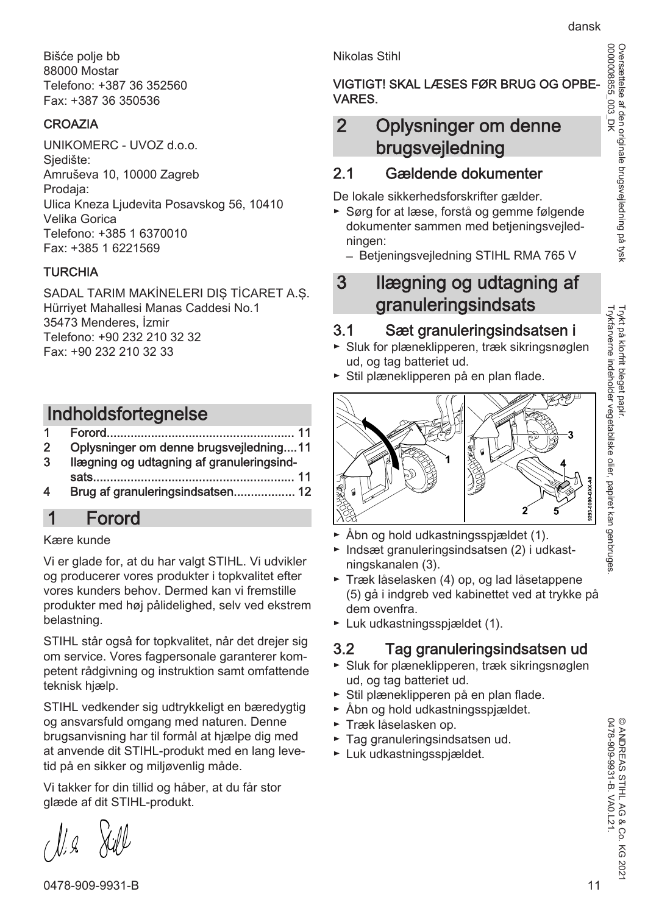Trykfarverne indeholder vegetabilske olier, papiret kan genbruges.

Trykt på klorfrit bleget papir.<br>Trykfarverne indeholder vegetabilske olier, papiret kan genbruges

Trykt på klorfrit bleget papir.

<span id="page-10-0"></span>Bišće polje bb 88000 Mostar Telefono: +387 36 352560 Fax: +387 36 350536

#### **CROAZIA**

UNIKOMERC - UVOZ d.o.o. Siedište: Amruševa 10, 10000 Zagreb Prodaja: Ulica Kneza Ljudevita Posavskog 56, 10410 Velika Gorica Telefono: +385 1 6370010 Fax: +385 1 6221569

#### **TURCHIA**

SADAL TARIM MAKİNELERI DIŞ TİCARET A.Ş. Hürriyet Mahallesi Manas Caddesi No.1 35473 Menderes, İzmir Telefono: +90 232 210 32 32 Fax: +90 232 210 32 33

### Indholdsfortegnelse

- 1 Forord....................................................... 11
- 2 Oplysninger om denne brugsvejledning....11
- 3 Ilægning og udtagning af granuleringsind‐ sats........................................................... 11
- [4](#page-11-0) [Brug af granuleringsindsatsen](#page-11-0).................. [12](#page-11-0)

# **Forord**

#### Kære kunde

Vi er glade for, at du har valgt STIHL. Vi udvikler og producerer vores produkter i topkvalitet efter vores kunders behov. Dermed kan vi fremstille produkter med høj pålidelighed, selv ved ekstrem belastning.

STIHL står også for topkvalitet, når det drejer sig om service. Vores fagpersonale garanterer kom‐ petent rådgivning og instruktion samt omfattende teknisk hjælp.

STIHL vedkender sig udtrykkeligt en bæredygtig og ansvarsfuld omgang med naturen. Denne brugsanvisning har til formål at hjælpe dig med at anvende dit STIHL-produkt med en lang leve‐ tid på en sikker og miljøvenlig måde.

Vi takker for din tillid og håber, at du får stor glæde af dit STIHL-produkt.

Nikolas Stihl

#### VIGTIGT! SKAL LÆSES FØR BRUG OG OPBE‐ VARES.

### 2 Oplysninger om denne brugsvejledning

### 2.1 Gældende dokumenter

De lokale sikkerhedsforskrifter gælder.

- ► Sørg for at læse, forstå og gemme følgende dokumenter sammen med betjeningsvejled‐ ningen:
	- Betjeningsvejledning STIHL RMA 765 V

# 3 Ilægning og udtagning af granuleringsindsats

### 3.1 Sæt granuleringsindsatsen i

- ► Sluk for plæneklipperen, træk sikringsnøglen ud, og tag batteriet ud.
- Stil plæneklipperen på en plan flade.



- Åbn og hold udkastningsspjældet (1).
- ► Indsæt granuleringsindsatsen (2) i udkast‐ ningskanalen (3).
- ► Træk låselasken (4) op, og lad låsetappene (5) gå i indgreb ved kabinettet ved at trykke på dem ovenfra.
- ► Luk udkastningsspjældet (1).

### 3.2 Tag granuleringsindsatsen ud

- ► Sluk for plæneklipperen, træk sikringsnøglen ud, og tag batteriet ud.
- Stil plæneklipperen på en plan flade.
- ► Åbn og hold udkastningsspjældet.
- ► Træk låselasken op.
- ► Tag granuleringsindsatsen ud.
- ► Luk udkastningsspjældet.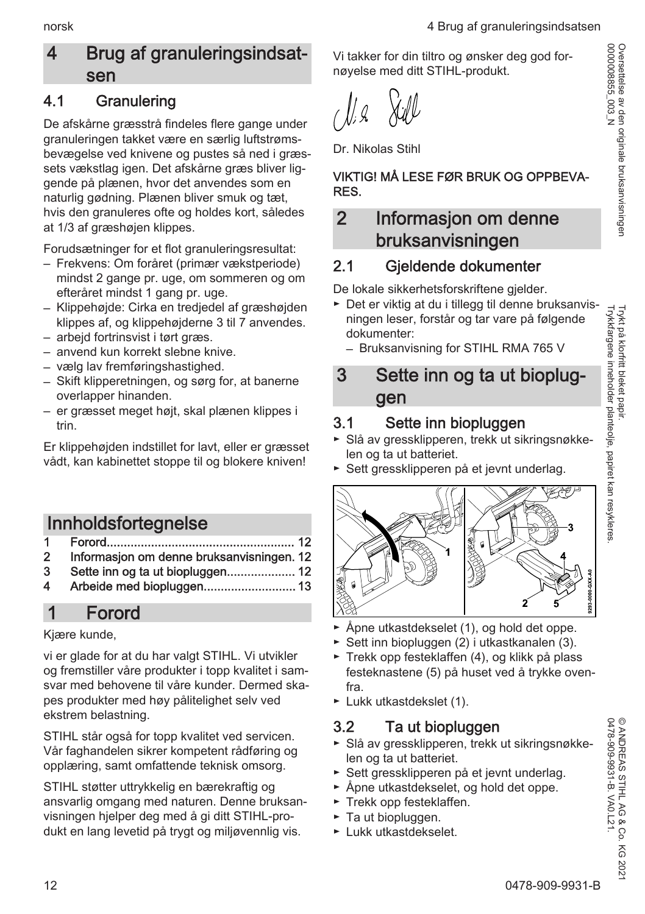# <span id="page-11-0"></span>4 Brug af granuleringsindsat‐ sen

# 4.1 Granulering

De afskårne græsstrå findeles flere gange under granuleringen takket være en særlig luftstrøms‐ bevægelse ved knivene og pustes så ned i græs‐ sets vækstlag igen. Det afskårne græs bliver lig‐ gende på plænen, hvor det anvendes som en naturlig gødning. Plænen bliver smuk og tæt, hvis den granuleres ofte og holdes kort, således at 1/3 af græshøjen klippes.

Forudsætninger for et flot granuleringsresultat:

- Frekvens: Om foråret (primær vækstperiode) mindst 2 gange pr. uge, om sommeren og om efteråret mindst 1 gang pr. uge.
- Klippehøjde: Cirka en tredjedel af græshøjden klippes af, og klippehøjderne 3 til 7 anvendes.
- arbejd fortrinsvist i tørt græs.
- anvend kun korrekt slebne knive.
- vælg lav fremføringshastighed.
- Skift klipperetningen, og sørg for, at banerne overlapper hinanden.
- er græsset meget højt, skal plænen klippes i trin.

Er klippehøjden indstillet for lavt, eller er græsset vådt, kan kabinettet stoppe til og blokere kniven!

# Innholdsfortegnelse

- 1 Forord....................................................... 12
- 2 Informasjon om denne bruksanvisningen. 12
- 3 Sette inn og ta ut biopluggen.................... 12
- [4](#page-12-0) [Arbeide med biopluggen.](#page-12-0).......................... [13](#page-12-0)

# **Forord**

Kjære kunde,

vi er glade for at du har valgt STIHL. Vi utvikler og fremstiller våre produkter i topp kvalitet i sam‐ svar med behovene til våre kunder. Dermed ska‐ pes produkter med høy pålitelighet selv ved ekstrem belastning.

STIHL står også for topp kvalitet ved servicen. Vår faghandelen sikrer kompetent rådføring og opplæring, samt omfattende teknisk omsorg.

STIHL støtter uttrykkelig en bærekraftig og ansvarlig omgang med naturen. Denne bruksan‐ visningen hjelper deg med å gi ditt STIHL-pro‐ dukt en lang levetid på trygt og miljøvennlig vis.

Vi takker for din tiltro og ønsker deg god for‐ nøyelse med ditt STIHL-produkt.

Dr. Nikolas Stihl

### VIKTIG! MÅ LESE FØR BRUK OG OPPBEVA‐ RES.

# 2 Informasjon om denne bruksanvisningen

# 2.1 Gieldende dokumenter

De lokale sikkerhetsforskriftene gjelder.

- ► Det er viktig at du i tillegg til denne bruksanvis‐ ningen leser, forstår og tar vare på følgende dokumenter:
	- Bruksanvisning for STIHL RMA 765 V

# 3 Sette inn og ta ut bioplug‐ aen

# 3.1 Sette inn biopluggen

- ► Slå av gressklipperen, trekk ut sikringsnøkke‐ len og ta ut batteriet.
- ► Sett gressklipperen på et jevnt underlag.



- Åpne utkastdekselet (1), og hold det oppe.
- Sett inn biopluggen (2) i utkastkanalen (3).
- ► Trekk opp festeklaffen (4), og klikk på plass festeknastene (5) på huset ved å trykke oven‐ fra.
- ► Lukk utkastdekslet (1).

# 3.2 Ta ut biopluggen

- ► Slå av gressklipperen, trekk ut sikringsnøkke‐ len og ta ut batteriet.
- ► Sett gressklipperen på et jevnt underlag.
- ► Åpne utkastdekselet, og hold det oppe.
- ► Trekk opp festeklaffen. ► Ta ut biopluggen.
- 
- ► Lukk utkastdekselet.

0000008855\_003\_N

0478-909-9931-B. VA0.L21. © ANDREAS STIHL AG & Co. KG 2021

© ANDREAS STIHL AG & Co. KG 202<br>0478-909-9931-B. VA0.L21.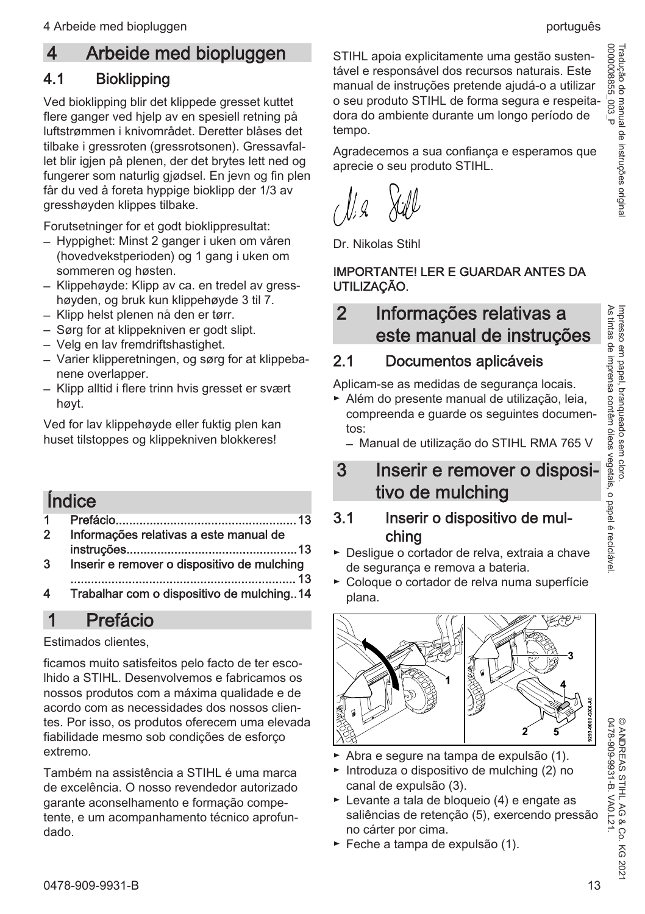# <span id="page-12-0"></span>4 Arbeide med biopluggen

## 4.1 Bioklipping

Ved bioklipping blir det klippede gresset kuttet flere ganger ved hjelp av en spesiell retning på luftstrømmen i knivområdet. Deretter blåses det tilbake i gressroten (gressrotsonen). Gressavfal‐ let blir igjen på plenen, der det brytes lett ned og fungerer som naturlig gjødsel. En jevn og fin plen får du ved å foreta hyppige bioklipp der 1/3 av gresshøyden klippes tilbake.

Forutsetninger for et godt bioklippresultat:

- Hyppighet: Minst 2 ganger i uken om våren (hovedvekstperioden) og 1 gang i uken om sommeren og høsten.
- Klippehøyde: Klipp av ca. en tredel av gress‐ høyden, og bruk kun klippehøyde 3 til 7.
- Klipp helst plenen nå den er tørr.
- Sørg for at klippekniven er godt slipt.
- Velg en lav fremdriftshastighet.
- Varier klipperetningen, og sørg for at klippeba‐ nene overlapper.
- Klipp alltid i flere trinn hvis gresset er svært høyt.

Ved for lav klippehøyde eller fuktig plen kan huset tilstoppes og klippekniven blokkeres!

# Índice

- 1 Prefácio.....................................................13
- 2 Informações relativas a este manual de instruções..................................................13
- 3 Inserir e remover o dispositivo de mulching
- .................................................................. 13 [4](#page-13-0) [Trabalhar com o dispositivo de mulching.](#page-13-0).[14](#page-13-0)

# 1 Prefácio

Estimados clientes,

ficamos muito satisfeitos pelo facto de ter escolhido a STIHL. Desenvolvemos e fabricamos os nossos produtos com a máxima qualidade e de acordo com as necessidades dos nossos clien‐ tes. Por isso, os produtos oferecem uma elevada fiabilidade mesmo sob condições de esforço extremo.

Também na assistência a STIHL é uma marca de excelência. O nosso revendedor autorizado garante aconselhamento e formação compe‐ tente, e um acompanhamento técnico aprofun‐ dado.

STIHL apoia explicitamente uma gestão susten‐ tável e responsável dos recursos naturais. Este manual de instruções pretende ajudá-o a utilizar o seu produto STIHL de forma segura e respeita‐ dora do ambiente durante um longo período de tempo.

Agradecemos a sua confiança e esperamos que aprecie o seu produto STIHL.



Dr. Nikolas Stihl

IMPORTANTE! LER E GUARDAR ANTES DA UTILIZAÇÃO.

# 2 Informações relativas a este manual de instruções

# 2.1 Documentos aplicáveis

Aplicam-se as medidas de segurança locais.

- ► Além do presente manual de utilização, leia, compreenda e guarde os seguintes documen‐ tos:
	- Manual de utilização do STIHL RMA 765 V

# 3 Inserir e remover o disposi‐ tivo de mulching

### 3.1 Inserir o dispositivo de mul‐ ching

- ► Desligue o cortador de relva, extraia a chave de segurança e remova a bateria.
- ► Coloque o cortador de relva numa superfície plana.



- ► Abra e segure na tampa de expulsão (1).
- ► Introduza o dispositivo de mulching (2) no canal de expulsão (3).
- ► Levante a tala de bloqueio (4) e engate as saliências de retenção (5), exercendo pressão no cárter por cima.
- ► Feche a tampa de expulsão (1).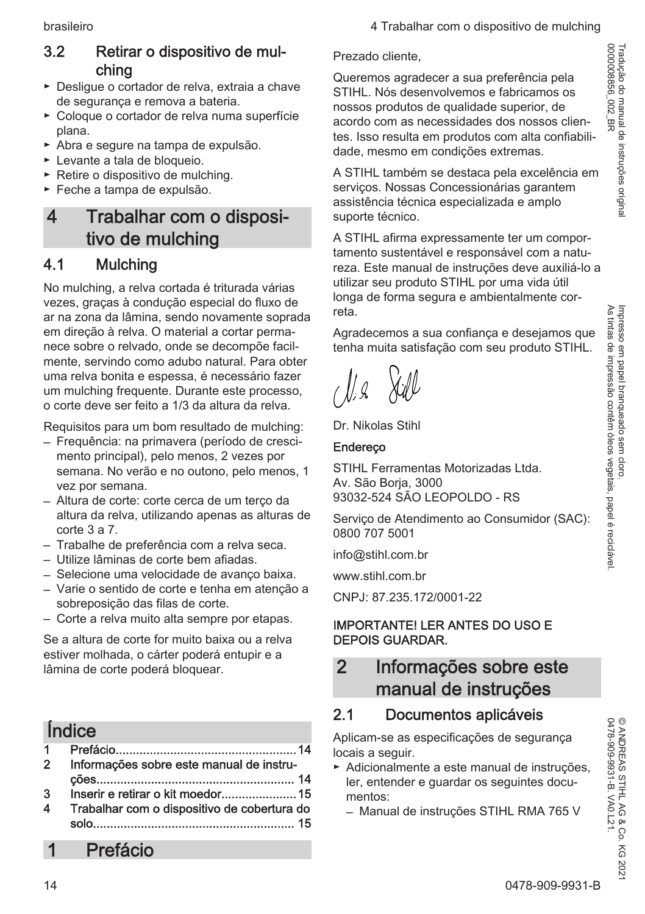#### <span id="page-13-0"></span>3.2 Retirar o dispositivo de mul‐ ching

- ► Desligue o cortador de relva, extraia a chave de segurança e remova a bateria.
- ► Coloque o cortador de relva numa superfície plana.
- ► Abra e segure na tampa de expulsão.
- ► Levante a tala de bloqueio.
- ► Retire o dispositivo de mulching.
- ► Feche a tampa de expulsão.

# 4 Trabalhar com o disposi‐ tivo de mulching

### 4.1 Mulching

No mulching, a relva cortada é triturada várias vezes, graças à condução especial do fluxo de ar na zona da lâmina, sendo novamente soprada em direção à relva. O material a cortar perma‐ nece sobre o relvado, onde se decompõe facil‐ mente, servindo como adubo natural. Para obter uma relva bonita e espessa, é necessário fazer um mulching frequente. Durante este processo, o corte deve ser feito a 1/3 da altura da relva.

Requisitos para um bom resultado de mulching:

- Frequência: na primavera (período de cresci‐ mento principal), pelo menos, 2 vezes por semana. No verão e no outono, pelo menos, 1 vez por semana.
- Altura de corte: corte cerca de um terço da altura da relva, utilizando apenas as alturas de corte 3 a 7.
- Trabalhe de preferência com a relva seca.
- Utilize lâminas de corte bem afiadas.
- Selecione uma velocidade de avanço baixa.
- Varie o sentido de corte e tenha em atenção a sobreposição das filas de corte.
- Corte a relva muito alta sempre por etapas.

Se a altura de corte for muito baixa ou a relva estiver molhada, o cárter poderá entupir e a lâmina de corte poderá bloquear.

# Índice

- 1 Prefácio.....................................................14 2 Informações sobre este manual de instru‐ ções.......................................................... 14
- [3](#page-14-0) [Inserir e retirar o kit moedor](#page-14-0)......................[15](#page-14-0)
- [4](#page-14-0) [Trabalhar com o dispositivo de cobertura do](#page-14-0) [solo](#page-14-0)........................................................... [15](#page-14-0)
- 1 Prefácio

Prezado cliente,

Queremos agradecer a sua preferência pela STIHL. Nós desenvolvemos e fabricamos os nossos produtos de qualidade superior, de acordo com as necessidades dos nossos clien‐ tes. Isso resulta em produtos com alta confiabili‐ dade, mesmo em condições extremas.

A STIHL também se destaca pela excelência em servicos. Nossas Concessionárias garantem assistência técnica especializada e amplo suporte técnico.

A STIHL afirma expressamente ter um compor‐ tamento sustentável e responsável com a natu‐ reza. Este manual de instruções deve auxiliá-lo a utilizar seu produto STIHL por uma vida útil longa de forma segura e ambientalmente cor‐ reta.

Agradecemos a sua confiança e desejamos que tenha muita satisfação com seu produto STIHL.

Dr. Nikolas Stihl

#### Endereço

STIHL Ferramentas Motorizadas Ltda. Av. São Borja, 3000 93032-524 SÃO LEOPOLDO - RS

Serviço de Atendimento ao Consumidor (SAC): 0800 707 5001

[info@stihl.com.br](http://info@stihl.com.br)

[www.stihl.com.br](http://www.stihl.com.br)

CNPJ: 87.235.172/0001-22

#### IMPORTANTE! LER ANTES DO USO E DEPOIS GUARDAR.

# 2 Informações sobre este manual de instruções

### 2.1 Documentos aplicáveis

Aplicam-se as especificações de segurança locais a seguir.

- ► Adicionalmente a este manual de instruções, ler, entender e guardar os seguintes docu‐ mentos:
	- Manual de instruções STIHL RMA 765 V

0000008856\_002\_BR

Tradução do manual de instruções origina<br>0000008856\_002\_BR Tradução do manual de instruções original

0478-909-9931-B. VA0.L21. © ANDREAS STIHL AG & Co. KG 2021

@ ANDREAS STIHL AG & Co<br>0478-909-9931-B. VA0.L21.

.<br>බ 202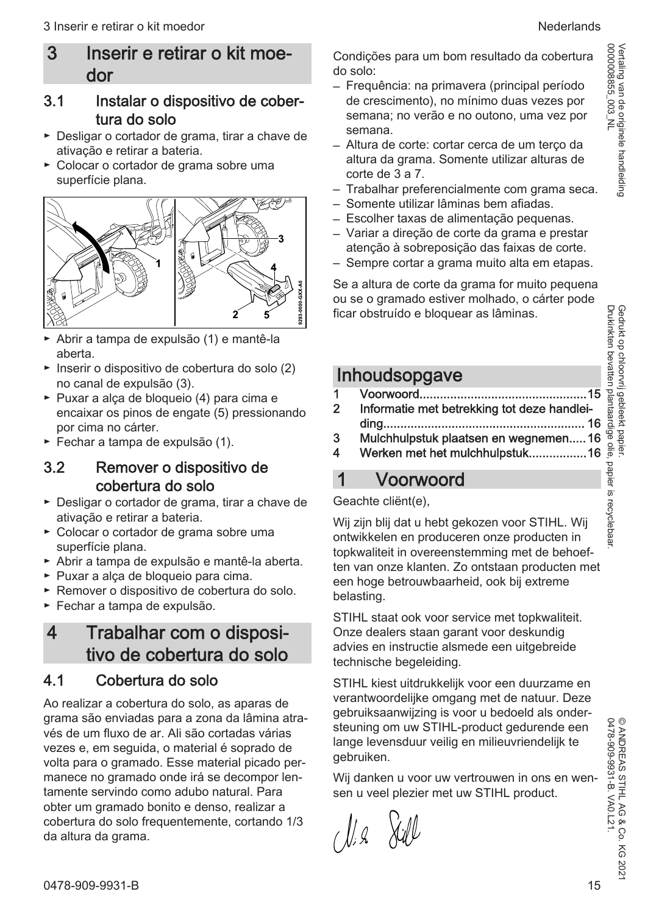## <span id="page-14-0"></span>3 Inserir e retirar o kit moe‐ dor

### 3.1 Instalar o dispositivo de cober‐ tura do solo

- ► Desligar o cortador de grama, tirar a chave de ativação e retirar a bateria.
- ► Colocar o cortador de grama sobre uma superfície plana.



- ► Abrir a tampa de expulsão (1) e mantê-la aberta.
- ► Inserir o dispositivo de cobertura do solo (2) no canal de expulsão (3).
- ► Puxar a alça de bloqueio (4) para cima e encaixar os pinos de engate (5) pressionando por cima no cárter.
- ► Fechar a tampa de expulsão (1).

### 3.2 Remover o dispositivo de cobertura do solo

- ► Desligar o cortador de grama, tirar a chave de ativação e retirar a bateria.
- ► Colocar o cortador de grama sobre uma superfície plana.
- ► Abrir a tampa de expulsão e mantê-la aberta.
- ► Puxar a alça de bloqueio para cima.
- ► Remover o dispositivo de cobertura do solo.
- ► Fechar a tampa de expulsão.

# 4 Trabalhar com o disposi‐ tivo de cobertura do solo

# 4.1 Cobertura do solo

Ao realizar a cobertura do solo, as aparas de grama são enviadas para a zona da lâmina atra‐ vés de um fluxo de ar. Ali são cortadas várias vezes e, em seguida, o material é soprado de volta para o gramado. Esse material picado per‐ manece no gramado onde irá se decompor len‐ tamente servindo como adubo natural. Para obter um gramado bonito e denso, realizar a cobertura do solo frequentemente, cortando 1/3 da altura da grama.

Condições para um bom resultado da cobertura do solo:

- Frequência: na primavera (principal período de crescimento), no mínimo duas vezes por semana; no verão e no outono, uma vez por semana.
- Altura de corte: cortar cerca de um terço da altura da grama. Somente utilizar alturas de corte de 3 a 7.
- Trabalhar preferencialmente com grama seca.
- Somente utilizar lâminas bem afiadas.
- Escolher taxas de alimentação pequenas.
- Variar a direção de corte da grama e prestar atenção à sobreposição das faixas de corte.
- Sempre cortar a grama muito alta em etapas.

Se a altura de corte da grama for muito pequena ou se o gramado estiver molhado, o cárter pode ficar obstruído e bloquear as lâminas.

# Inhoudsopgave

- 1 Voorwoord.................................................15 [2](#page-15-0) [Informatie met betrekking tot deze handlei‐](#page-15-0) [ding](#page-15-0)........................................................... [16](#page-15-0) [3](#page-15-0) [Mulchhulpstuk plaatsen en wegnemen](#page-15-0).....[16](#page-15-0)
- [4](#page-15-0) [Werken met het mulchhulpstuk](#page-15-0).................[16](#page-15-0)

# 1 Voorwoord

Geachte cliënt(e),

Wij zijn blij dat u hebt gekozen voor STIHL. Wij ontwikkelen en produceren onze producten in topkwaliteit in overeenstemming met de behoef‐ ten van onze klanten. Zo ontstaan producten met een hoge betrouwbaarheid, ook bij extreme belasting.

STIHL staat ook voor service met topkwaliteit. Onze dealers staan garant voor deskundig advies en instructie alsmede een uitgebreide technische begeleiding.

STIHL kiest uitdrukkelijk voor een duurzame en verantwoordelijke omgang met de natuur. Deze gebruiksaanwijzing is voor u bedoeld als onder‐ steuning om uw STIHL-product gedurende een lange levensduur veilig en milieuvriendelijk te gebruiken.

Wij danken u voor uw vertrouwen in ons en wen‐ sen u veel plezier met uw STIHL product.

(l), a Xill

0478-909-9931-B 15

0478-909-9931-B. VA0.L21. © ANDREAS STIHL AG & Co. KG 2021

@ ANDREAS STIHL AG & Co<br>0478-909-9931-B. VA0.L21.

.<br>ลิ 202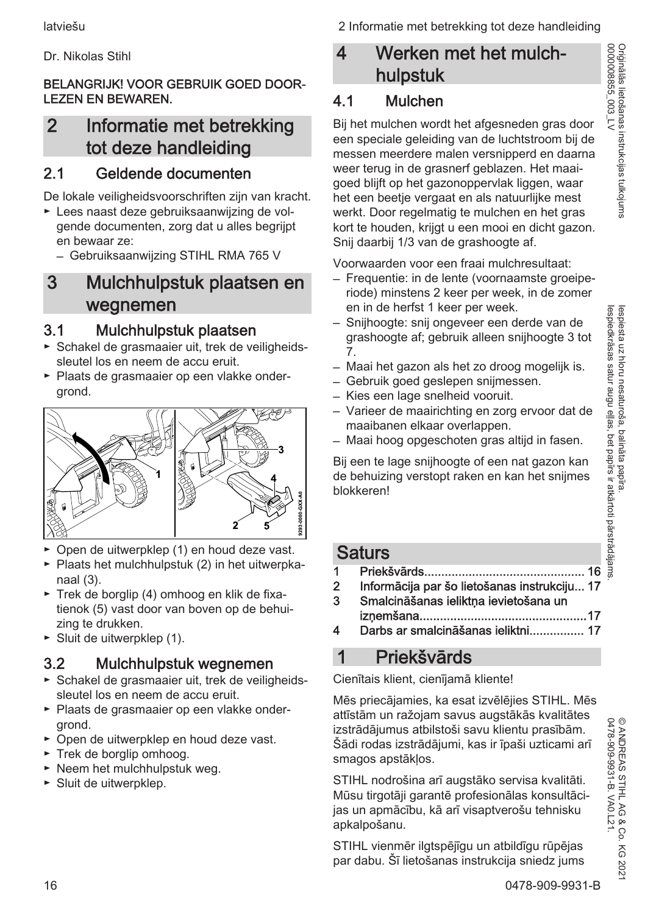#### BELANGRIJK! VOOR GEBRUIK GOED DOOR-LEZEN EN BEWAREN.

# 2 Informatie met betrekking tot deze handleiding

# 2.1 Geldende documenten

De lokale veiligheidsvoorschriften zijn van kracht.

- ► Lees naast deze gebruiksaanwijzing de vol‐ gende documenten, zorg dat u alles begrijpt en bewaar ze:
	- Gebruiksaanwijzing STIHL RMA 765 V

# 3 Mulchhulpstuk plaatsen en wegnemen

### 3.1 Mulchhulpstuk plaatsen

- ► Schakel de grasmaaier uit, trek de veiligheids‐ sleutel los en neem de accu eruit.
- ► Plaats de grasmaaier op een vlakke onder‐ grond.



- ► Open de uitwerpklep (1) en houd deze vast.
- ► Plaats het mulchhulpstuk (2) in het uitwerpka‐ naal (3).
- ► Trek de borglip (4) omhoog en klik de fixa‐ tienok (5) vast door van boven op de behui‐ zing te drukken.
- ► Sluit de uitwerpklep (1).

### 3.2 Mulchhulpstuk wegnemen

- ► Schakel de grasmaaier uit, trek de veiligheids‐ sleutel los en neem de accu eruit.
- ► Plaats de grasmaaier op een vlakke onder‐ grond.
- ► Open de uitwerpklep en houd deze vast.
- ► Trek de borglip omhoog.
- ► Neem het mulchhulpstuk weg.
- ► Sluit de uitwerpklep.

<span id="page-15-0"></span>latviešu 2 Informatie met betrekking tot deze handleiding

# 4 Werken met het mulch‐ hulpstuk

# 4.1 Mulchen

Bij het mulchen wordt het afgesneden gras door een speciale geleiding van de luchtstroom bij de messen meerdere malen versnipperd en daarna weer terug in de grasnerf geblazen. Het maai‐ goed blijft op het gazonoppervlak liggen, waar het een beetje vergaat en als natuurlijke mest werkt. Door regelmatig te mulchen en het gras kort te houden, krijgt u een mooi en dicht gazon. Snij daarbij 1/3 van de grashoogte af.

Voorwaarden voor een fraai mulchresultaat:

- Frequentie: in de lente (voornaamste groeipe‐ riode) minstens 2 keer per week, in de zomer en in de herfst 1 keer per week.
- Snijhoogte: snij ongeveer een derde van de grashoogte af; gebruik alleen snijhoogte 3 tot 7.
- Maai het gazon als het zo droog mogelijk is.
- Gebruik goed geslepen snijmessen.
- Kies een lage snelheid vooruit.
- Varieer de maairichting en zorg ervoor dat de maaibanen elkaar overlappen.
- Maai hoog opgeschoten gras altijd in fasen.

Bij een te lage snijhoogte of een nat gazon kan de behuizing verstopt raken en kan het snijmes blokkeren!

# Saturs

- 1 Priekšvārds............................................... 16
- [2](#page-16-0) [Informācija par šo lietošanas instrukciju.](#page-16-0).. [17](#page-16-0)
- [3](#page-16-0) [Smalcināšanas ieliktņa ievietošana un](#page-16-0) [izņemšana.](#page-16-0)................................................[17](#page-16-0)
- [4](#page-16-0) [Darbs ar smalcināšanas ieliktni.](#page-16-0)...............

# 1 Priekšvārds

Cienītais klient, cienījamā kliente!

Mēs priecājamies, ka esat izvēlējies STIHL. Mēs attīstām un ražojam savus augstākās kvalitātes izstrādājumus atbilstoši savu klientu prasībām. Šādi rodas izstrādājumi, kas ir īpaši uzticami arī smagos apstākļos.

STIHL nodrošina arī augstāko servisa kvalitāti. Mūsu tirgotāji garantē profesionālas konsultāci‐ jas un apmācību, kā arī visaptverošu tehnisku apkalpošanu.

STIHL vienmēr ilgtspējīgu un atbildīgu rūpējas par dabu. Šī lietošanas instrukcija sniedz jums 0478-909-9931-B. VA0.L21. © ANDREAS STIHL AG & Co. KG 2021

@ ANDREAS STIHL AG & Co<br>0478-909-9931-B. VA0.L21.

.<br>බ 202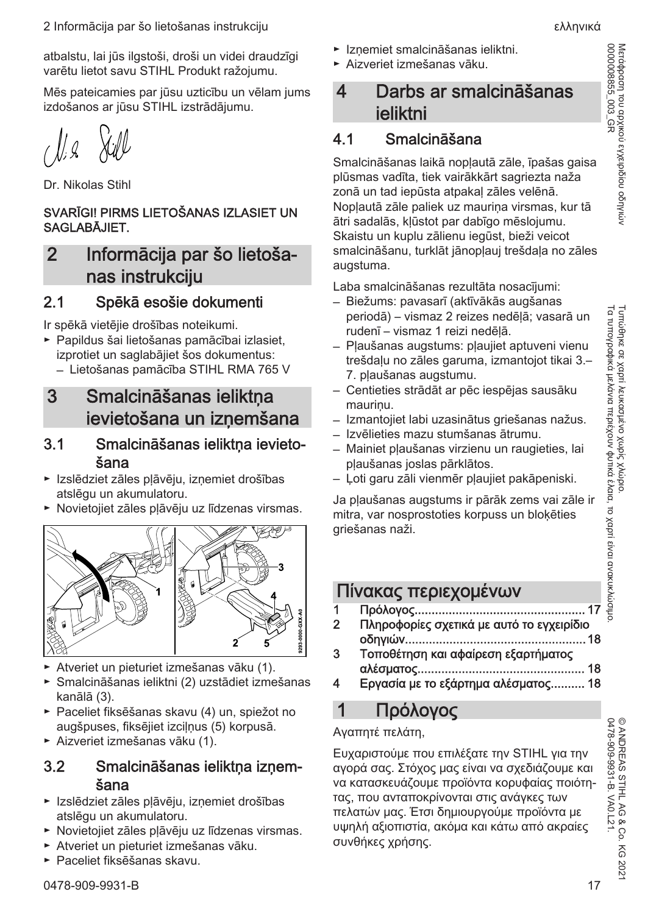<span id="page-16-0"></span>atbalstu, lai jūs ilgstoši, droši un videi draudzīgi varētu lietot savu STIHL Produkt ražojumu.

Mēs pateicamies par jūsu uzticību un vēlam jums izdošanos ar jūsu STIHL izstrādājumu.

Dr. Nikolas Stihl

#### SVARĪGI! PIRMS LIETOŠANAS IZLASIET UN SAGLABĀJIET.

2 Informācija par šo lietoša‐ nas instrukciju

# 2.1 Spēkā esošie dokumenti

Ir spēkā vietējie drošības noteikumi.

- ► Papildus šai lietošanas pamācībai izlasiet, izprotiet un saglabājiet šos dokumentus:
	- Lietošanas pamācība STIHL RMA 765 V

# 3 Smalcināšanas ieliktņa ievietošana un izņemšana

#### 3.1 Smalcināšanas ieliktna ievietošana

- ► Izslēdziet zāles pļāvēju, izņemiet drošības atslēgu un akumulatoru.
- ► Novietojiet zāles pļāvēju uz līdzenas virsmas.



- ► Atveriet un pieturiet izmešanas vāku (1).
- ► Smalcināšanas ieliktni (2) uzstādiet izmešanas kanālā (3).
- ► Paceliet fiksēšanas skavu (4) un, spiežot no augšpuses, fiksējiet izcilnus (5) korpusā.
- ► Aizveriet izmešanas vāku (1).

### 3.2 Smalcināšanas ieliktņa izņem‐ šana

- ► Izslēdziet zāles pļāvēju, izņemiet drošības atslēgu un akumulatoru.
- ► Novietojiet zāles pļāvēju uz līdzenas virsmas.
- ► Atveriet un pieturiet izmešanas vāku.
- ► Paceliet fiksēšanas skavu.
- ► Izņemiet smalcināšanas ieliktni.
- ► Aizveriet izmešanas vāku.

# 4 Darbs ar smalcināšanas ieliktni

# 4.1 Smalcināšana

Smalcināšanas laikā nopļautā zāle, īpašas gaisa plūsmas vadīta, tiek vairākkārt sagriezta naža zonā un tad iepūsta atpakaļ zāles velēnā. Nopļautā zāle paliek uz mauriņa virsmas, kur tā ātri sadalās, kļūstot par dabīgo mēslojumu. Skaistu un kuplu zālienu iegūst, bieži veicot smalcināšanu, turklāt jānopļauj trešdaļa no zāles augstuma

Laba smalcināšanas rezultāta nosacījumi:

- Biežums: pavasarī (aktīvākās augšanas periodā) – vismaz 2 reizes nedēļā; vasarā un rudenī – vismaz 1 reizi nedēļā.
- Pļaušanas augstums: pļaujiet aptuveni vienu trešdaļu no zāles garuma, izmantojot tikai 3.– 7. pļaušanas augstumu.
- Centieties strādāt ar pēc iespējas sausāku maurinu
- Izmantojiet labi uzasinātus griešanas nažus.
- Izvēlieties mazu stumšanas ātrumu.
- Mainiet pļaušanas virzienu un raugieties, lai pļaušanas joslas pārklātos.
- Ļoti garu zāli vienmēr pļaujiet pakāpeniski.

Ja pļaušanas augstums ir pārāk zems vai zāle ir mitra, var nosprostoties korpuss un bloķēties griešanas naži.

# Πίνακας περιεχομένων

- 1 Πρόλογος.................................................. 17
- [2](#page-17-0) [Πληροφορίες σχετικά με αυτό το εγχειρίδιο](#page-17-0) [οδηγιών.](#page-17-0)....................................................[18](#page-17-0)
- [3](#page-17-0) [Τοποθέτηση και αφαίρεση εξαρτήματος](#page-17-0) [αλέσματος.](#page-17-0)................................................ [18](#page-17-0)
- [4](#page-17-0) [Εργασία με το εξάρτημα αλέσματος](#page-17-0).......... [18](#page-17-0)

# 1 Πρόλογος

### Αγαπητέ πελάτη,

Ευχαριστούμε που επιλέξατε την STIHL για την αγορά σας. Στόχος μας είναι να σχεδιάζουμε και να κατασκευάζουμε προϊόντα κορυφαίας ποιότη‐ τας, που ανταποκρίνονται στις ανάγκες των πελατών μας. Έτσι δημιουργούμε προϊόντα με υψηλή αξιοπιστία, ακόμα και κάτω από ακραίες συνθήκες χρήσης.

 $\overline{\delta}$ 202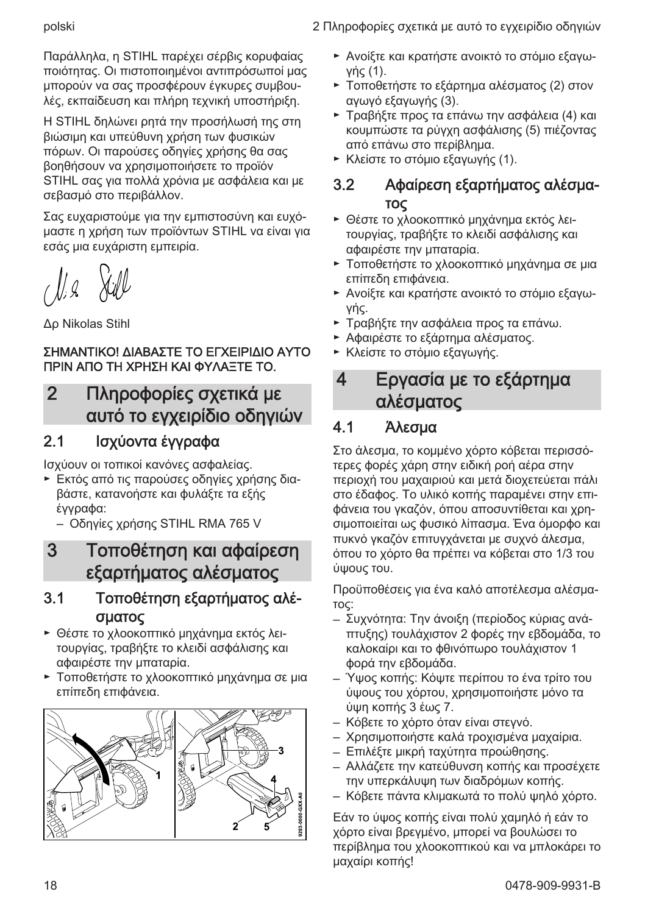<span id="page-17-0"></span>

Παράλληλα, η STIHL παρέχει σέρβις κορυφαίας ποιότητας. Οι πιστοποιημένοι αντιπρόσωποί μας μπορούν να σας προσφέρουν έγκυρες συμβου‐ λές, εκπαίδευση και πλήρη τεχνική υποστήριξη.

Η STIHL δηλώνει ρητά την προσήλωσή της στη βιώσιμη και υπεύθυνη χρήση των φυσικών πόρων. Οι παρούσες οδηγίες χρήσης θα σας βοηθήσουν να χρησιμοποιήσετε το προϊόν STIHL σας για πολλά χρόνια με ασφάλεια και με σεβασμό στο περιβάλλον.

Σας ευχαριστούμε για την εμπιστοσύνη και ευχό‐ μαστε η χρήση των προϊόντων STIHL να είναι για εσάς μια ευχάριστη εμπειρία.

Δρ Nikolas Stihl

#### ΣΗΜΑΝΤΙΚΟ! ΔΙΑΒΑΣΤΕ ΤΟ ΕΓΧΕΙΡΙΔΙΟ ΑΥΤΟ ΠΡΙΝ ΑΠΟ ΤΗ ΧΡΗΣΗ ΚΑΙ ΦΥΛΑΞΤΕ ΤΟ.

## 2 Πληροφορίες σχετικά με αυτό το εγχειρίδιο οδηγιών

### 2.1 Ισχύοντα έγγραφα

Ισχύουν οι τοπικοί κανόνες ασφαλείας.

- ► Εκτός από τις παρούσες οδηγίες χρήσης δια‐ βάστε, κατανοήστε και φυλάξτε τα εξής έγγραφα:
	- Οδηγίες χρήσης STIHL RMA 765 V

# 3 Τοποθέτηση και αφαίρεση εξαρτήματος αλέσματος

### 3.1 Τοποθέτηση εξαρτήματος αλέ‐ σματος

- ► Θέστε το χλοοκοπτικό μηχάνημα εκτός λει‐ τουργίας, τραβήξτε το κλειδί ασφάλισης και αφαιρέστε την μπαταρία.
- ► Τοποθετήστε το χλοοκοπτικό μηχάνημα σε μια επίπεδη επιφάνεια.



- ► Ανοίξτε και κρατήστε ανοικτό το στόμιο εξαγω‐ γής (1).
- ► Τοποθετήστε το εξάρτημα αλέσματος (2) στον αγωγό εξαγωγής (3).
- ► Τραβήξτε προς τα επάνω την ασφάλεια (4) και κουμπώστε τα ρύγχη ασφάλισης (5) πιέζοντας από επάνω στο περίβλημα.
- ► Κλείστε το στόμιο εξαγωγής (1).

### 3.2 Αφαίρεση εξαρτήματος αλέσμα‐ τος

- ► Θέστε το χλοοκοπτικό μηχάνημα εκτός λει‐ τουργίας, τραβήξτε το κλειδί ασφάλισης και αφαιρέστε την μπαταρία.
- ► Τοποθετήστε το χλοοκοπτικό μηχάνημα σε μια επίπεδη επιφάνεια.
- ► Ανοίξτε και κρατήστε ανοικτό το στόμιο εξαγω‐ γής.
- ► Τραβήξτε την ασφάλεια προς τα επάνω.
- ► Αφαιρέστε το εξάρτημα αλέσματος.
- ► Κλείστε το στόμιο εξαγωγής.

# 4 Εργασία με το εξάρτημα αλέσματος

### 4.1 Άλεσμα

Στο άλεσμα, το κομμένο χόρτο κόβεται περισσό‐ τερες φορές χάρη στην ειδική ροή αέρα στην περιοχή του μαχαιριού και μετά διοχετεύεται πάλι στο έδαφος. Το υλικό κοπής παραμένει στην επι‐ φάνεια του γκαζόν, όπου αποσυντίθεται και χρη‐ σιμοποιείται ως φυσικό λίπασμα. Ένα όμορφο και πυκνό γκαζόν επιτυγχάνεται με συχνό άλεσμα, όπου το χόρτο θα πρέπει να κόβεται στο 1/3 του ύψους του.

Προϋποθέσεις για ένα καλό αποτέλεσμα αλέσμα‐ τος:

- Συχνότητα: Την άνοιξη (περίοδος κύριας ανά‐ πτυξης) τουλάχιστον 2 φορές την εβδομάδα, το καλοκαίρι και το φθινόπωρο τουλάχιστον 1 φορά την εβδομάδα.
- Ύψος κοπής: Κόψτε περίπου το ένα τρίτο του ύψους του χόρτου, χρησιμοποιήστε μόνο τα ύψη κοπής 3 έως 7.
- Κόβετε το χόρτο όταν είναι στεγνό.
- Χρησιμοποιήστε καλά τροχισμένα μαχαίρια.
- Επιλέξτε μικρή ταχύτητα προώθησης.
- Αλλάζετε την κατεύθυνση κοπής και προσέχετε την υπερκάλυψη των διαδρόμων κοπής.
- Κόβετε πάντα κλιμακωτά το πολύ ψηλό χόρτο.

Εάν το ύψος κοπής είναι πολύ χαμηλό ή εάν το χόρτο είναι βρεγμένο, μπορεί να βουλώσει το περίβλημα του χλοοκοπτικού και να μπλοκάρει το μαχαίρι κοπής!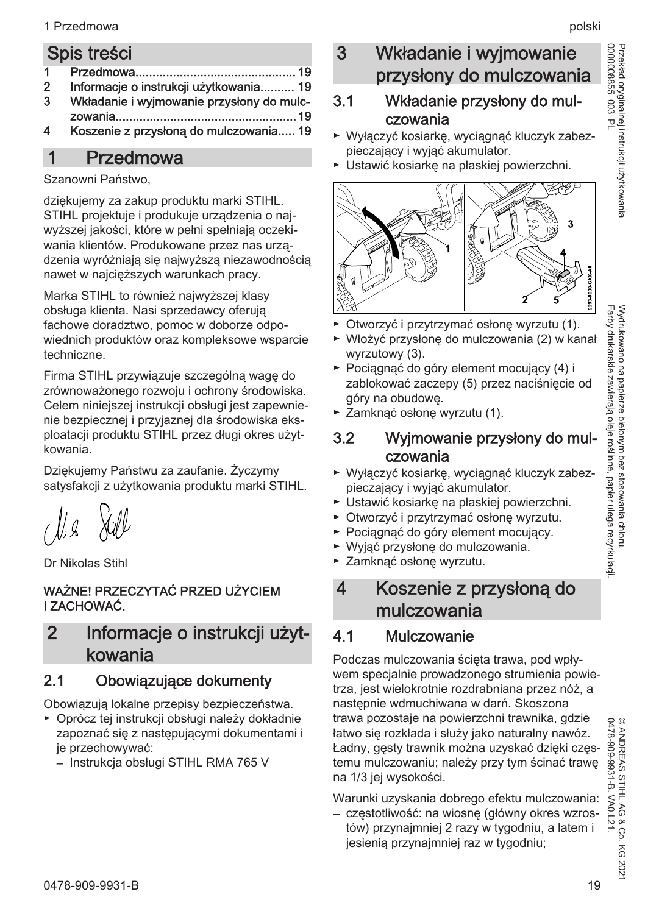<span id="page-18-0"></span>Spis treści

Szanowni Państwo,

Firma STIHL przywiązuje szczególną wagę do zrównoważonego rozwoju i ochrony środowiska. Celem niniejszej instrukcji obsługi jest zapewnie‐ nie bezpiecznej i przyjaznej dla środowiska eks‐ ploatacji produktu STIHL przez długi okres użyt‐ kowania.

 Przedmowa............................................... 19 Informacje o instrukcji użytkowania.......... 19 Wkładanie i wyjmowanie przysłony do mulc‐ zowania.....................................................19 Koszenie z przysłoną do mulczowania..... 19

**Przedmowa** 

dziękujemy za zakup produktu marki STIHL. STIHL projektuje i produkuje urządzenia o naj‐ wyższej jakości, które w pełni spełniają oczeki‐ wania klientów. Produkowane przez nas urzą‐ dzenia wyróżniają się najwyższą niezawodnością nawet w najcięższych warunkach pracy. Marka STIHL to również najwyższej klasy obsługa klienta. Nasi sprzedawcy oferują fachowe doradztwo, pomoc w doborze odpo‐ wiednich produktów oraz kompleksowe wsparcie

Dziękujemy Państwu za zaufanie. Życzymy satysfakcji z użytkowania produktu marki STIHL.

techniczne.

Dr Nikolas Stihl

#### WAŻNE! PRZECZYTAĆ PRZED UŻYCIEM I ZACHOWAĆ.

### 2 Informacje o instrukcji użyt‐ kowania

### 2.1 Obowiązujące dokumenty

Obowiązują lokalne przepisy bezpieczeństwa.

- ► Oprócz tej instrukcji obsługi należy dokładnie zapoznać się z następującymi dokumentami i je przechowywać:
	- Instrukcja obsługi STIHL RMA 765 V

# 3 Wkładanie i wyjmowanie przysłony do mulczowania

#### 3.1 Wkładanie przysłony do mul‐ czowania

- ► Wyłączyć kosiarkę, wyciągnąć kluczyk zabez‐ pieczający i wyjąć akumulator.
- ► Ustawić kosiarkę na płaskiej powierzchni.



- ► Otworzyć i przytrzymać osłonę wyrzutu (1).
- ► Włożyć przysłonę do mulczowania (2) w kanał wyrzutowy (3).
- ► Pociągnąć do góry element mocujący (4) i zablokować zaczepy (5) przez naciśnięcie od góry na obudowę.
- ► Zamknąć osłonę wyrzutu (1).

#### 3.2 Wyjmowanie przysłony do mul‐ czowania

- ► Wyłączyć kosiarkę, wyciągnąć kluczyk zabez‐ pieczający i wyjąć akumulator.
- ► Ustawić kosiarkę na płaskiej powierzchni.
- ► Otworzyć i przytrzymać osłonę wyrzutu.
- ► Pociągnąć do góry element mocujący.
- ► Wyjąć przysłonę do mulczowania.
- ► Zamknąć osłonę wyrzutu.

### 4 Koszenie z przysłoną do mulczowania

#### 4.1 Mulczowanie

Podczas mulczowania ścięta trawa, pod wpły‐ wem specialnie prowadzonego strumienia powietrza, jest wielokrotnie rozdrabniana przez nóż, a następnie wdmuchiwana w darń. Skoszona trawa pozostaje na powierzchni trawnika, gdzie łatwo się rozkłada i służy jako naturalny nawóz. Ładny, gęsty trawnik można uzyskać dzięki częs‐ temu mulczowaniu; należy przy tym ścinać trawę na 1/3 jej wysokości.

Warunki uzyskania dobrego efektu mulczowania:

– częstotliwość: na wiosnę (główny okres wzros‐ tów) przynajmniej 2 razy w tygodniu, a latem i jesienią przynajmniej raz w tygodniu;

0478-909-9931-B. VA0.L21. © ANDREAS STIHL AG & Co. KG 2021

ANDREAS STIHL AG & Co.<br>478-909-9931-B. VA0.L21.

 $\overline{\delta}$ 202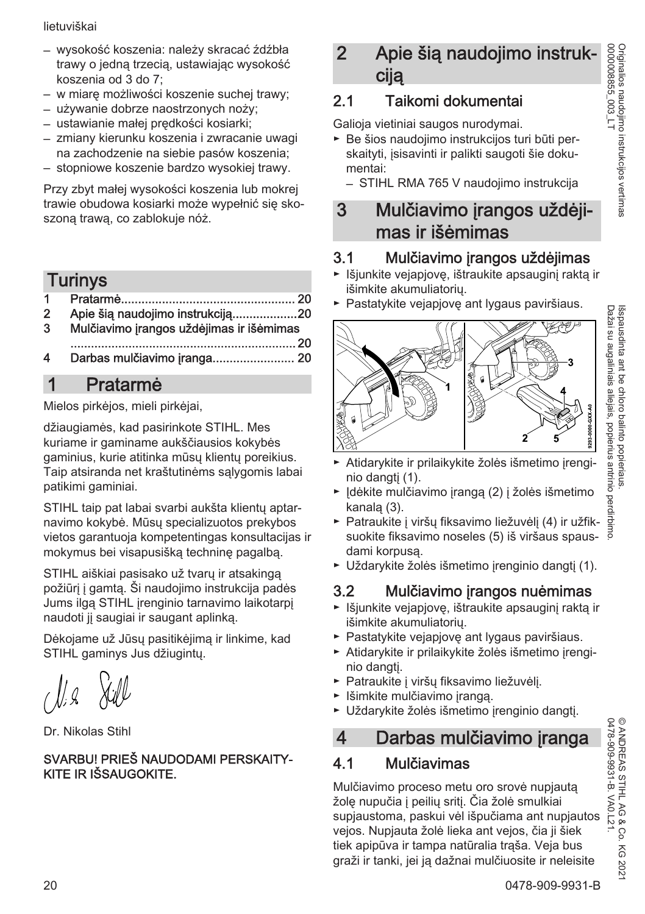#### <span id="page-19-0"></span>lietuviškai

- wysokość koszenia: należy skracać źdźbła trawy o jedną trzecią, ustawiając wysokość koszenia od 3 do 7;
- w miarę możliwości koszenie suchej trawy;
- używanie dobrze naostrzonych noży;
- ustawianie małej prędkości kosiarki;
- zmiany kierunku koszenia i zwracanie uwagi na zachodzenie na siebie pasów koszenia;
- stopniowe koszenie bardzo wysokiej trawy.

Przy zbyt małej wysokości koszenia lub mokrej trawie obudowa kosiarki może wypełnić się sko‐ szoną trawą, co zablokuje nóż.

### Turinys

- 1 Pratarmė................................................... 20
- 2 Apie šią naudojimo instrukciją...................20
- 3 Mulčiavimo įrangos uždėjimas ir išėmimas
- .................................................................. 20 4 Darbas mulčiavimo įranga........................ 20

### **Pratarmė**

Mielos pirkėjos, mieli pirkėjai,

džiaugiamės, kad pasirinkote STIHL. Mes kuriame ir gaminame aukščiausios kokybės gaminius, kurie atitinka mūsų klientų poreikius. Taip atsiranda net kraštutinėms sąlygomis labai patikimi gaminiai.

STIHL taip pat labai svarbi aukšta klientų aptar‐ navimo kokybė. Mūsų specializuotos prekybos vietos garantuoja kompetentingas konsultacijas ir mokymus bei visapusišką techninę pagalbą.

STIHL aiškiai pasisako už tvarų ir atsakingą požiūrį į gamtą. Ši naudojimo instrukcija padės Jums ilgą STIHL įrenginio tarnavimo laikotarpį naudoti jį saugiai ir saugant aplinką.

Dėkojame už Jūsų pasitikėjimą ir linkime, kad STIHL gaminys Jus džiugintų.

Dr. Nikolas Stihl

#### SVARBU! PRIEŠ NAUDODAMI PERSKAITY‐ KITE IR IŠSAUGOKITE.

# 2 Apie šią naudojimo instruk‐ ciją

### 2.1 Taikomi dokumentai

Galioja vietiniai saugos nurodymai.

- ► Be šios naudojimo instrukcijos turi būti per‐ skaityti, įsisavinti ir palikti saugoti šie doku‐ mentai:
	- STIHL RMA 765 V naudojimo instrukcija

# 3 Mulčiavimo įrangos uždėji‐ mas ir išėmimas

#### 3.1 Mulčiavimo įrangos uždėjimas

- ► Išjunkite vejapjovę, ištraukite apsauginį raktą ir išimkite akumuliatorių.
- ► Pastatykite vejapjovę ant lygaus paviršiaus.



0478-909-9931-B. VA0.L21. © ANDREAS STIHL AG & Co. KG 2021

@ ANDREAS STIHL AG & Co<br>0478-909-9931-B. VA0.L21.

KG 202

- Atidarykite ir prilaikykite žolės išmetimo įrenginio dangti (1).
- ► Idėkite mulčiavimo įrangą (2) į žolės išmetimo kanalą (3).
- ► Patraukite į viršų fiksavimo liežuvėlį (4) ir užfik‐ suokite fiksavimo noseles (5) iš viršaus spaus‐ dami korpusą.
- ► Uždarykite žolės išmetimo įrenginio dangtį (1).

### 3.2 Mulčiavimo įrangos nuėmimas

- ► Išjunkite vejapjovę, ištraukite apsauginį raktą ir išimkite akumuliatorių.
- ► Pastatykite vejapjovę ant lygaus paviršiaus.
- ► Atidarykite ir prilaikykite žolės išmetimo įrengi‐ nio dangti.
- ► Patraukite į viršų fiksavimo liežuvėlį.
- ► Išimkite mulčiavimo įrangą.
- ► Uždarykite žolės išmetimo įrenginio dangtį.

### 4 Darbas mulčiavimo įranga

#### 4.1 Mulčiavimas

Mulčiavimo proceso metu oro srovė nupjautą žolę nupučia į peilių sritį. Čia žolė smulkiai supjaustoma, paskui vėl išpučiama ant nupjautos vejos. Nupjauta žolė lieka ant vejos, čia ji šiek tiek apipūva ir tampa natūralia trąša. Veja bus graži ir tanki, jei ją dažnai mulčiuosite ir neleisite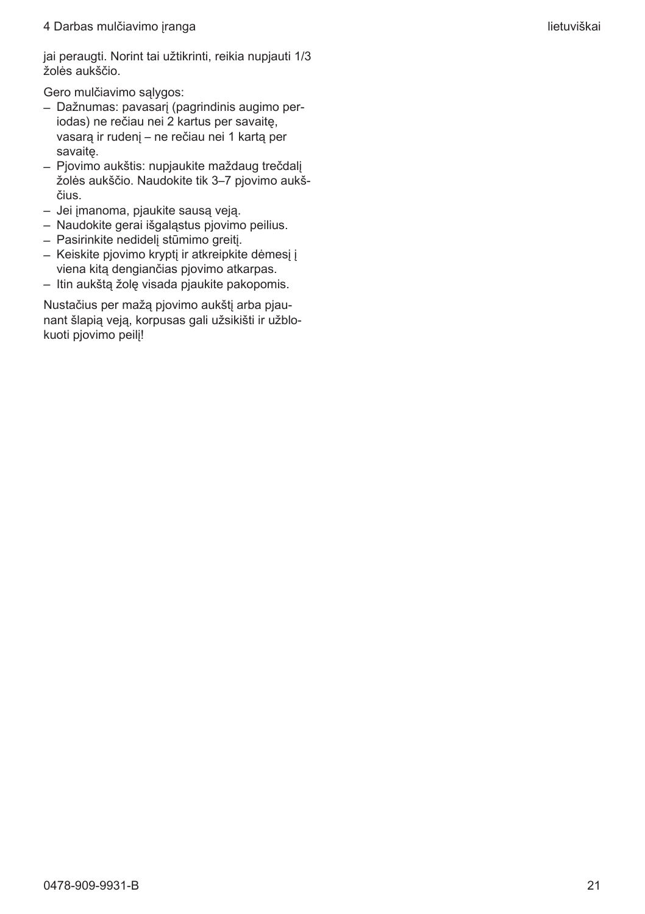#### <span id="page-20-0"></span>4 Darbas mulčiavimo įranga lietuviškai ir vietos ir vietos ir vietos ir vietos ir vietos ir vietos ir vietos i

jai peraugti. Norint tai užtikrinti, reikia nupjauti 1/3 žolės aukščio.

Gero mulčiavimo sąlygos:

- Dažnumas: pavasarį (pagrindinis augimo per‐ iodas) ne rečiau nei 2 kartus per savaitę, vasarą ir rudenį – ne rečiau nei 1 kartą per savaitę.
- Pjovimo aukštis: nupjaukite maždaug trečdalį žolės aukščio. Naudokite tik 3–7 pjovimo aukš‐ čius.
- Jei įmanoma, pjaukite sausą veją.
- Naudokite gerai išgaląstus pjovimo peilius.
- Pasirinkite nedidelį stūmimo greitį.
- Keiskite pjovimo kryptį ir atkreipkite dėmesį į viena kitą dengiančias pjovimo atkarpas.
- Itin aukštą žolę visada pjaukite pakopomis.

Nustačius per mažą pjovimo aukštį arba pjau‐ nant šlapią veją, korpusas gali užsikišti ir užblo‐ kuoti pjovimo peilį!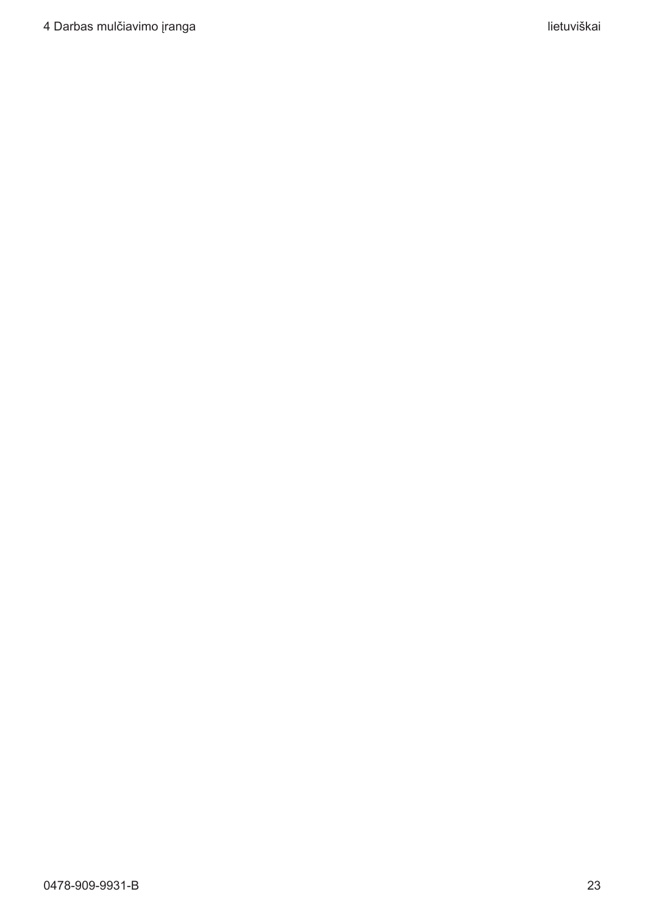4 Darbas mulčiavimo įranga lietuviškai atstautiniai atstautiniai atstautiniai atstautiniai atstautiniai atstau